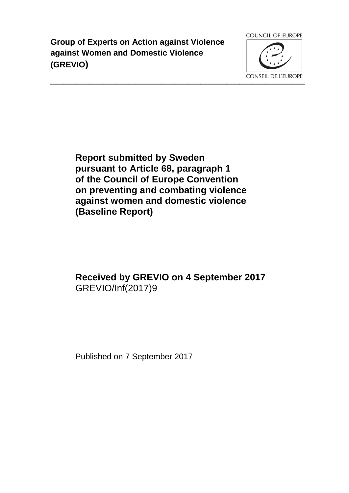**Group of Experts on Action against Violence against Women and Domestic Violence (GREVIO)**



**Report submitted by Sweden pursuant to Article 68, paragraph 1 of the Council of Europe Convention on preventing and combating violence against women and domestic violence (Baseline Report)**

# **Received by GREVIO on 4 September 2017** GREVIO/Inf(2017)9

Published on 7 September 2017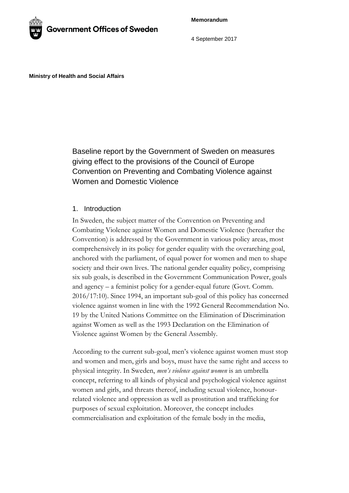**Memorandum**



4 September 2017

**Ministry of Health and Social Affairs**

Baseline report by the Government of Sweden on measures giving effect to the provisions of the Council of Europe Convention on Preventing and Combating Violence against Women and Domestic Violence

## 1. Introduction

In Sweden, the subject matter of the Convention on Preventing and Combating Violence against Women and Domestic Violence (hereafter the Convention) is addressed by the Government in various policy areas, most comprehensively in its policy for gender equality with the overarching goal, anchored with the parliament, of equal power for women and men to shape society and their own lives. The national gender equality policy, comprising six sub goals, is described in the Government Communication Power, goals and agency – a feminist policy for a gender-equal future (Govt. Comm. 2016/17:10). Since 1994, an important sub-goal of this policy has concerned violence against women in line with the 1992 General Recommendation No. 19 by the United Nations Committee on the Elimination of Discrimination against Women as well as the 1993 Declaration on the Elimination of Violence against Women by the General Assembly.

According to the current sub-goal, men's violence against women must stop and women and men, girls and boys, must have the same right and access to physical integrity. In Sweden, *men's violence against women* is an umbrella concept, referring to all kinds of physical and psychological violence against women and girls, and threats thereof, including sexual violence, honourrelated violence and oppression as well as prostitution and trafficking for purposes of sexual exploitation. Moreover, the concept includes commercialisation and exploitation of the female body in the media,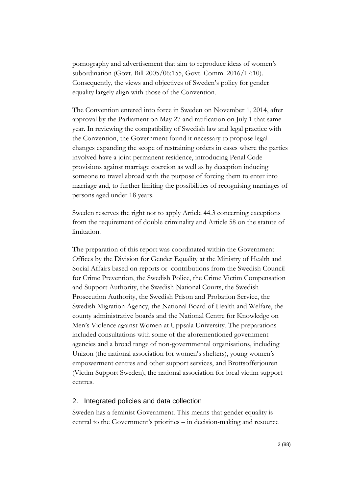pornography and advertisement that aim to reproduce ideas of women's subordination (Govt. Bill 2005/06:155, Govt. Comm. 2016/17:10). Consequently, the views and objectives of Sweden's policy for gender equality largely align with those of the Convention.

The Convention entered into force in Sweden on November 1, 2014, after approval by the Parliament on May 27 and ratification on July 1 that same year. In reviewing the compatibility of Swedish law and legal practice with the Convention, the Government found it necessary to propose legal changes expanding the scope of restraining orders in cases where the parties involved have a joint permanent residence, introducing Penal Code provisions against marriage coercion as well as by deception inducing someone to travel abroad with the purpose of forcing them to enter into marriage and, to further limiting the possibilities of recognising marriages of persons aged under 18 years.

Sweden reserves the right not to apply Article 44.3 concerning exceptions from the requirement of double criminality and Article 58 on the statute of limitation.

The preparation of this report was coordinated within the Government Offices by the Division for Gender Equality at the Ministry of Health and Social Affairs based on reports or contributions from the Swedish Council for Crime Prevention, the Swedish Police, the Crime Victim Compensation and Support Authority, the Swedish National Courts, the Swedish Prosecution Authority, the Swedish Prison and Probation Service, the Swedish Migration Agency, the National Board of Health and Welfare, the county administrative boards and the National Centre for Knowledge on Men's Violence against Women at Uppsala University. The preparations included consultations with some of the aforementioned government agencies and a broad range of non-governmental organisations, including Unizon (the national association for women's shelters), young women's empowerment centres and other support services, and Brottsofferjouren (Victim Support Sweden), the national association for local victim support centres.

#### 2. Integrated policies and data collection

Sweden has a feminist Government. This means that gender equality is central to the Government's priorities – in decision-making and resource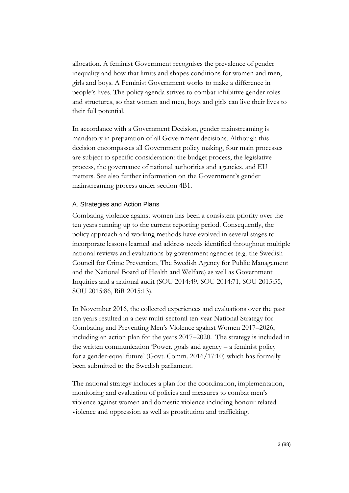allocation. A feminist Government recognises the prevalence of gender inequality and how that limits and shapes conditions for women and men, girls and boys. A Feminist Government works to make a difference in people's lives. The policy agenda strives to combat inhibitive gender roles and structures, so that women and men, boys and girls can live their lives to their full potential.

In accordance with a Government Decision, gender mainstreaming is mandatory in preparation of all Government decisions. Although this decision encompasses all Government policy making, four main processes are subject to specific consideration: the budget process, the legislative process, the governance of national authorities and agencies, and EU matters. See also further information on the Government's gender mainstreaming process under section 4B1.

## A. Strategies and Action Plans

Combating violence against women has been a consistent priority over the ten years running up to the current reporting period. Consequently, the policy approach and working methods have evolved in several stages to incorporate lessons learned and address needs identified throughout multiple national reviews and evaluations by government agencies (e.g. the Swedish Council for Crime Prevention, The Swedish Agency for Public Management and the National Board of Health and Welfare) as well as Government Inquiries and a national audit (SOU 2014:49, SOU 2014:71, SOU 2015:55, SOU 2015:86, RiR 2015:13).

In November 2016, the collected experiences and evaluations over the past ten years resulted in a new multi-sectoral ten-year National Strategy for Combating and Preventing Men's Violence against Women 2017–2026, including an action plan for the years 2017–2020. The strategy is included in the written communication 'Power, goals and agency – a feminist policy for a gender-equal future' (Govt. Comm. 2016/17:10) which has formally been submitted to the Swedish parliament.

The national strategy includes a plan for the coordination, implementation, monitoring and evaluation of policies and measures to combat men's violence against women and domestic violence including honour related violence and oppression as well as prostitution and trafficking.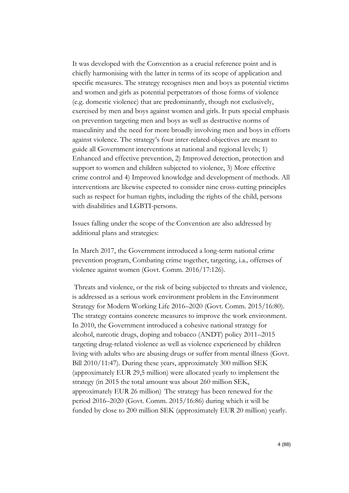It was developed with the Convention as a crucial reference point and is chiefly harmonising with the latter in terms of its scope of application and specific measures. The strategy recognises men and boys as potential victims and women and girls as potential perpetrators of those forms of violence (e.g. domestic violence) that are predominantly, though not exclusively, exercised by men and boys against women and girls. It puts special emphasis on prevention targeting men and boys as well as destructive norms of masculinity and the need for more broadly involving men and boys in efforts against violence. The strategy's four inter-related objectives are meant to guide all Government interventions at national and regional levels; 1) Enhanced and effective prevention, 2) Improved detection, protection and support to women and children subjected to violence, 3) More effective crime control and 4) Improved knowledge and development of methods. All interventions are likewise expected to consider nine cross-cutting principles such as respect for human rights, including the rights of the child, persons with disabilities and LGBTI-persons.

Issues falling under the scope of the Convention are also addressed by additional plans and strategies:

In March 2017, the Government introduced a long-term national crime prevention program, Combating crime together, targeting, i.a.*,* offenses of violence against women (Govt. Comm. 2016/17:126).

Threats and violence, or the risk of being subjected to threats and violence, is addressed as a serious work environment problem in the Environment Strategy for Modern Working Life 2016–2020 (Govt. Comm. 2015/16:80). The strategy contains concrete measures to improve the work environment. In 2010, the Government introduced a cohesive national strategy for alcohol, narcotic drugs, doping and tobacco (ANDT) policy 2011–2015 targeting drug-related violence as well as violence experienced by children living with adults who are abusing drugs or suffer from mental illness (Govt. Bill 2010/11:47). During these years, approximately 300 million SEK (approximately EUR 29,5 million) were allocated yearly to implement the strategy (in 2015 the total amount was about 260 million SEK, approximately EUR 26 million) The strategy has been renewed for the period 2016–2020 (Govt. Comm. 2015/16:86) during which it will be funded by close to 200 million SEK (approximately EUR 20 million) yearly.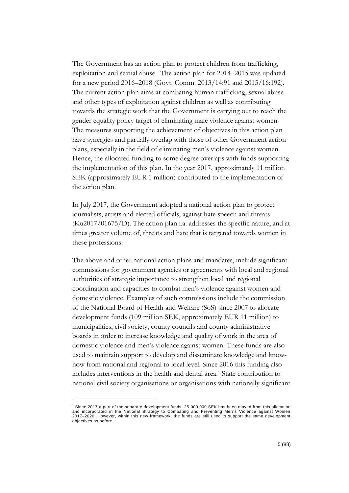The Government has an action plan to protect children from trafficking, exploitation and sexual abuse. The action plan for 2014–2015 was updated for a new period 2016–2018 (Govt. Comm. 2013/14:91 and 2015/16:192). The current action plan aims at combating human trafficking, sexual abuse and other types of exploitation against children as well as contributing towards the strategic work that the Government is carrying out to reach the gender equality policy target of eliminating male violence against women. The measures supporting the achievement of objectives in this action plan have synergies and partially overlap with those of other Government action plans, especially in the field of eliminating men's violence against women. Hence, the allocated funding to some degree overlaps with funds supporting the implementation of this plan. In the year 2017, approximately 11 million SEK (approximately EUR 1 million) contributed to the implementation of the action plan.

In July 2017, the Government adopted a national action plan to protect journalists, artists and elected officials, against hate speech and threats (Ku2017/01675/D). The action plan i.a. addresses the specific nature, and at times greater volume of, threats and hate that is targeted towards women in these professions.

The above and other national action plans and mandates, include significant commissions for government agencies or agreements with local and regional authorities of strategic importance to strengthen local and regional coordination and capacities to combat men's violence against women and domestic violence. Examples of such commissions include the commission of the National Board of Health and Welfare (SoS) since 2007 to allocate development funds (109 million SEK, approximately EUR 11 million) to municipalities, civil society, county councils and county administrative boards in order to increase knowledge and quality of work in the area of domestic violence and men's violence against women. These funds are also used to maintain support to develop and disseminate knowledge and knowhow from national and regional to local level. Since 2016 this funding also includes interventions in the health and dental area.<sup>1</sup> State contribution to national civil society organisations or organisations with nationally significant

-

<sup>1</sup> Since 2017 a part of the separate development funds, 25 000 000 SEK has been moved from this allocation and incorporated in the National Strategy to Combating and Preventing Men´s Violence against Women 2017–2026. However, within this new framework, the funds are still used to support the same development objectives as before.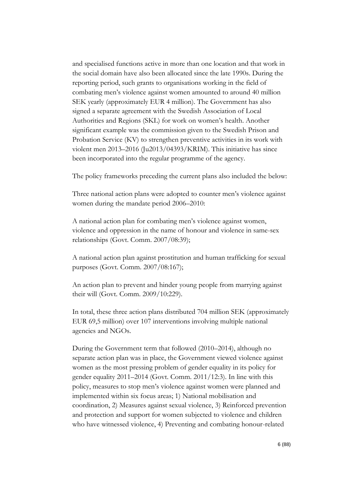and specialised functions active in more than one location and that work in the social domain have also been allocated since the late 1990s. During the reporting period, such grants to organisations working in the field of combating men's violence against women amounted to around 40 million SEK yearly (approximately EUR 4 million). The Government has also signed a separate agreement with the Swedish Association of Local Authorities and Regions (SKL) for work on women's health. Another significant example was the commission given to the Swedish Prison and Probation Service (KV) to strengthen preventive activities in its work with violent men 2013–2016 (Ju2013/04393/KRIM). This initiative has since been incorporated into the regular programme of the agency.

The policy frameworks preceding the current plans also included the below:

Three national action plans were adopted to counter men's violence against women during the mandate period 2006–2010:

A national action plan for combating men's violence against women, violence and oppression in the name of honour and violence in same-sex relationships (Govt. Comm. 2007/08:39);

A national action plan against prostitution and human trafficking for sexual purposes (Govt. Comm. 2007/08:167);

An action plan to prevent and hinder young people from marrying against their will (Govt. Comm. 2009/10:229).

In total, these three action plans distributed 704 million SEK (approximately EUR 69,5 million) over 107 interventions involving multiple national agencies and NGOs.

During the Government term that followed (2010–2014), although no separate action plan was in place, the Government viewed violence against women as the most pressing problem of gender equality in its policy for gender equality 2011–2014 (Govt. Comm. 2011/12:3). In line with this policy, measures to stop men's violence against women were planned and implemented within six focus areas; 1) National mobilisation and coordination, 2) Measures against sexual violence, 3) Reinforced prevention and protection and support for women subjected to violence and children who have witnessed violence, 4) Preventing and combating honour-related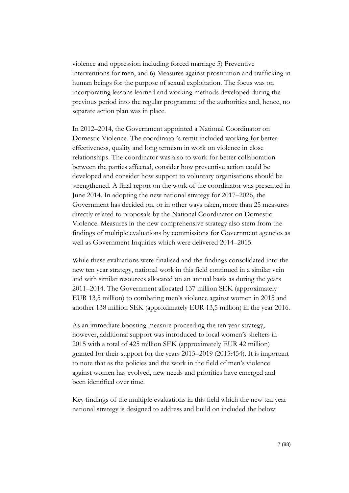violence and oppression including forced marriage 5) Preventive interventions for men, and 6) Measures against prostitution and trafficking in human beings for the purpose of sexual exploitation. The focus was on incorporating lessons learned and working methods developed during the previous period into the regular programme of the authorities and, hence, no separate action plan was in place.

In 2012–2014, the Government appointed a National Coordinator on Domestic Violence. The coordinator's remit included working for better effectiveness, quality and long termism in work on violence in close relationships. The coordinator was also to work for better collaboration between the parties affected, consider how preventive action could be developed and consider how support to voluntary organisations should be strengthened. A final report on the work of the coordinator was presented in June 2014. In adopting the new national strategy for 2017–2026, the Government has decided on, or in other ways taken, more than 25 measures directly related to proposals by the National Coordinator on Domestic Violence. Measures in the new comprehensive strategy also stem from the findings of multiple evaluations by commissions for Government agencies as well as Government Inquiries which were delivered 2014–2015.

While these evaluations were finalised and the findings consolidated into the new ten year strategy, national work in this field continued in a similar vein and with similar resources allocated on an annual basis as during the years 2011–2014. The Government allocated 137 million SEK (approximately EUR 13,5 million) to combating men's violence against women in 2015 and another 138 million SEK (approximately EUR 13,5 million) in the year 2016.

As an immediate boosting measure proceeding the ten year strategy, however, additional support was introduced to local women's shelters in 2015 with a total of 425 million SEK (approximately EUR 42 million) granted for their support for the years 2015–2019 (2015:454). It is important to note that as the policies and the work in the field of men's violence against women has evolved, new needs and priorities have emerged and been identified over time.

Key findings of the multiple evaluations in this field which the new ten year national strategy is designed to address and build on included the below: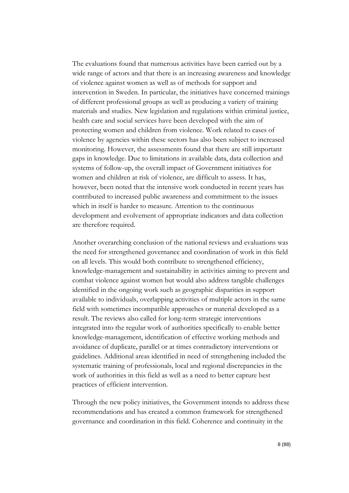The evaluations found that numerous activities have been carried out by a wide range of actors and that there is an increasing awareness and knowledge of violence against women as well as of methods for support and intervention in Sweden. In particular, the initiatives have concerned trainings of different professional groups as well as producing a variety of training materials and studies. New legislation and regulations within criminal justice, health care and social services have been developed with the aim of protecting women and children from violence. Work related to cases of violence by agencies within these sectors has also been subject to increased monitoring. However, the assessments found that there are still important gaps in knowledge. Due to limitations in available data, data collection and systems of follow-up, the overall impact of Government initiatives for women and children at risk of violence, are difficult to assess. It has, however, been noted that the intensive work conducted in recent years has contributed to increased public awareness and commitment to the issues which in itself is harder to measure. Attention to the continuous development and evolvement of appropriate indicators and data collection are therefore required.

Another overarching conclusion of the national reviews and evaluations was the need for strengthened governance and coordination of work in this field on all levels. This would both contribute to strengthened efficiency, knowledge-management and sustainability in activities aiming to prevent and combat violence against women but would also address tangible challenges identified in the ongoing work such as geographic disparities in support available to individuals, overlapping activities of multiple actors in the same field with sometimes incompatible approaches or material developed as a result. The reviews also called for long-term strategic interventions integrated into the regular work of authorities specifically to enable better knowledge-management, identification of effective working methods and avoidance of duplicate, parallel or at times contradictory interventions or guidelines. Additional areas identified in need of strengthening included the systematic training of professionals, local and regional discrepancies in the work of authorities in this field as well as a need to better capture best practices of efficient intervention.

Through the new policy initiatives, the Government intends to address these recommendations and has created a common framework for strengthened governance and coordination in this field. Coherence and continuity in the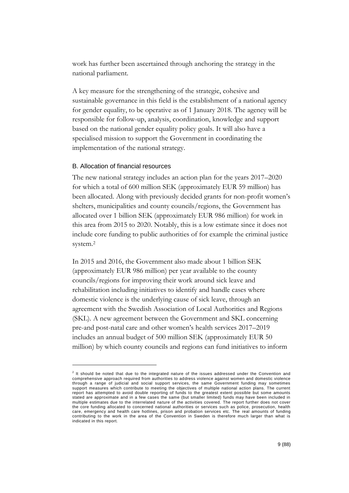work has further been ascertained through anchoring the strategy in the national parliament.

A key measure for the strengthening of the strategic, cohesive and sustainable governance in this field is the establishment of a national agency for gender equality, to be operative as of 1 January 2018. The agency will be responsible for follow-up, analysis, coordination, knowledge and support based on the national gender equality policy goals. It will also have a specialised mission to support the Government in coordinating the implementation of the national strategy.

#### B. Allocation of financial resources

-

The new national strategy includes an action plan for the years 2017–2020 for which a total of 600 million SEK (approximately EUR 59 million) has been allocated. Along with previously decided grants for non-profit women's shelters, municipalities and county councils/regions, the Government has allocated over 1 billion SEK (approximately EUR 986 million) for work in this area from 2015 to 2020. Notably, this is a low estimate since it does not include core funding to public authorities of for example the criminal justice system.<sup>2</sup>

In 2015 and 2016, the Government also made about 1 billion SEK (approximately EUR 986 million) per year available to the county councils/regions for improving their work around sick leave and rehabilitation including initiatives to identify and handle cases where domestic violence is the underlying cause of sick leave, through an agreement with the Swedish Association of Local Authorities and Regions (SKL). A new agreement between the Government and SKL concerning pre-and post-natal care and other women's health services 2017–2019 includes an annual budget of 500 million SEK (approximately EUR 50 million) by which county councils and regions can fund initiatives to inform

 $2$  It should be noted that due to the integrated nature of the issues addressed under the Convention and comprehensive approach required from authorities to address violence against women and domestic violence through a range of judicial and social support services, the same Government funding may sometimes support measures which contribute to meeting the objectives of multiple national action plans. The current report has attempted to avoid double reporting of funds to the greatest extent possible but some amounts stated are approximate and in a few cases the same (but smaller limited) funds may have been included in multiple estimates due to the interrelated nature of the activities covered. The report further does not cover the core funding allocated to concerned national authorities or services such as police, prosecution, health care, emergency and health care hotlines, prison and probation services etc. The real amounts of funding contributing to the work in the area of the Convention in Sweden is therefore much larger than what is indicated in this report.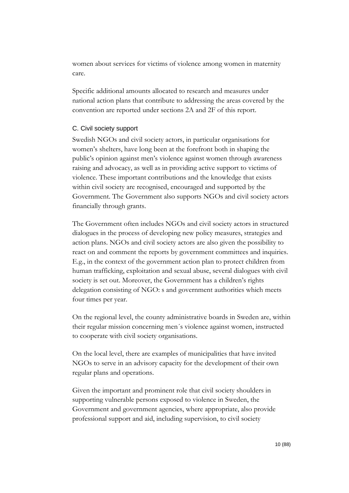women about services for victims of violence among women in maternity care.

Specific additional amounts allocated to research and measures under national action plans that contribute to addressing the areas covered by the convention are reported under sections 2A and 2F of this report.

# C. Civil society support

Swedish NGOs and civil society actors, in particular organisations for women's shelters, have long been at the forefront both in shaping the public's opinion against men's violence against women through awareness raising and advocacy, as well as in providing active support to victims of violence. These important contributions and the knowledge that exists within civil society are recognised, encouraged and supported by the Government. The Government also supports NGOs and civil society actors financially through grants.

The Government often includes NGOs and civil society actors in structured dialogues in the process of developing new policy measures, strategies and action plans. NGOs and civil society actors are also given the possibility to react on and comment the reports by government committees and inquiries. E.g., in the context of the government action plan to protect children from human trafficking, exploitation and sexual abuse, several dialogues with civil society is set out. Moreover, the Government has a children's rights delegation consisting of NGO: s and government authorities which meets four times per year.

On the regional level, the county administrative boards in Sweden are, within their regular mission concerning men´s violence against women, instructed to cooperate with civil society organisations.

On the local level, there are examples of municipalities that have invited NGOs to serve in an advisory capacity for the development of their own regular plans and operations.

Given the important and prominent role that civil society shoulders in supporting vulnerable persons exposed to violence in Sweden, the Government and government agencies, where appropriate, also provide professional support and aid, including supervision, to civil society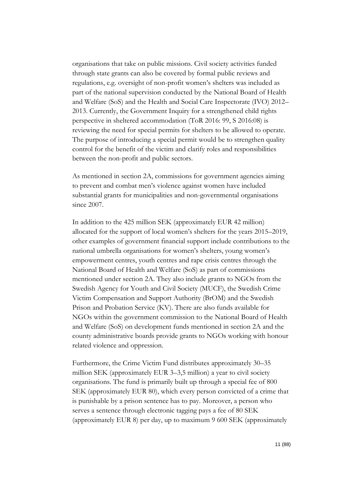organisations that take on public missions. Civil society activities funded through state grants can also be covered by formal public reviews and regulations, e.g. oversight of non-profit women's shelters was included as part of the national supervision conducted by the National Board of Health and Welfare (SoS) and the Health and Social Care Inspectorate (IVO) 2012– 2013. Currently, the Government Inquiry for a strengthened child rights perspective in sheltered accommodation (ToR 2016: 99, S 2016:08) is reviewing the need for special permits for shelters to be allowed to operate. The purpose of introducing a special permit would be to strengthen quality control for the benefit of the victim and clarify roles and responsibilities between the non-profit and public sectors.

As mentioned in section 2A, commissions for government agencies aiming to prevent and combat men's violence against women have included substantial grants for municipalities and non-governmental organisations since 2007.

In addition to the 425 million SEK (approximately EUR 42 million) allocated for the support of local women's shelters for the years 2015–2019, other examples of government financial support include contributions to the national umbrella organisations for women's shelters, young women's empowerment centres, youth centres and rape crisis centres through the National Board of Health and Welfare (SoS) as part of commissions mentioned under section 2A. They also include grants to NGOs from the Swedish Agency for Youth and Civil Society (MUCF), the Swedish Crime Victim Compensation and Support Authority (BrOM) and the Swedish Prison and Probation Service (KV). There are also funds available for NGOs within the government commission to the National Board of Health and Welfare (SoS) on development funds mentioned in section 2A and the county administrative boards provide grants to NGOs working with honour related violence and oppression.

Furthermore, the Crime Victim Fund distributes approximately 30–35 million SEK (approximately EUR 3–3,5 million) a year to civil society organisations. The fund is primarily built up through a special fee of 800 SEK (approximately EUR 80), which every person convicted of a crime that is punishable by a prison sentence has to pay. Moreover, a person who serves a sentence through electronic tagging pays a fee of 80 SEK (approximately EUR 8) per day, up to maximum 9 600 SEK (approximately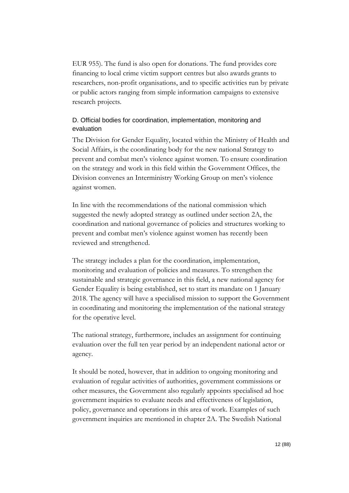EUR 955). The fund is also open for donations. The fund provides core financing to local crime victim support centres but also awards grants to researchers, non-profit organisations, and to specific activities run by private or public actors ranging from simple information campaigns to extensive research projects.

# D. Official bodies for coordination, implementation, monitoring and evaluation

The Division for Gender Equality, located within the Ministry of Health and Social Affairs, is the coordinating body for the new national Strategy to prevent and combat men's violence against women. To ensure coordination on the strategy and work in this field within the Government Offices, the Division convenes an Interministry Working Group on men's violence against women.

In line with the recommendations of the national commission which suggested the newly adopted strategy as outlined under section 2A, the coordination and national governance of policies and structures working to prevent and combat men's violence against women has recently been reviewed and strengthened.

The strategy includes a plan for the coordination, implementation, monitoring and evaluation of policies and measures. To strengthen the sustainable and strategic governance in this field, a new national agency for Gender Equality is being established, set to start its mandate on 1 January 2018. The agency will have a specialised mission to support the Government in coordinating and monitoring the implementation of the national strategy for the operative level.

The national strategy, furthermore, includes an assignment for continuing evaluation over the full ten year period by an independent national actor or agency.

It should be noted, however, that in addition to ongoing monitoring and evaluation of regular activities of authorities, government commissions or other measures, the Government also regularly appoints specialised ad hoc government inquiries to evaluate needs and effectiveness of legislation, policy, governance and operations in this area of work. Examples of such government inquiries are mentioned in chapter 2A. The Swedish National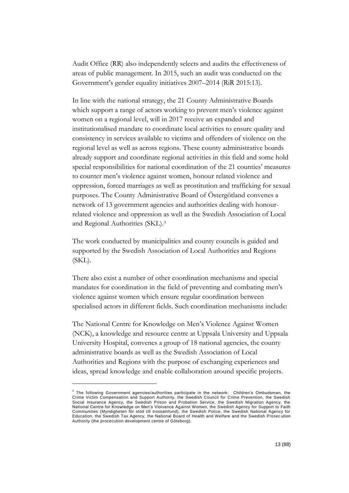Audit Office (RR) also independently selects and audits the effectiveness of areas of public management. In 2015, such an audit was conducted on the Government's gender equality initiatives 2007–2014 (RiR 2015:13).

In line with the national strategy, the 21 County Administrative Boards which support a range of actors working to prevent men's violence against women on a regional level, will in 2017 receive an expanded and institutionalised mandate to coordinate local activities to ensure quality and consistency in services available to victims and offenders of violence on the regional level as well as across regions. These county administrative boards already support and coordinate regional activities in this field and some hold special responsibilities for national coordination of the 21 counties' measures to counter men's violence against women, honour related violence and oppression, forced marriages as well as prostitution and trafficking for sexual purposes. The County Administrative Board of Östergötland convenes a network of 13 government agencies and authorities dealing with honourrelated violence and oppression as well as the Swedish Association of Local and Regional Authorities (SKL).<sup>3</sup>

The work conducted by municipalities and county councils is guided and supported by the Swedish Association of Local Authorities and Regions (SKL).

There also exist a number of other coordination mechanisms and special mandates for coordination in the field of preventing and combating men's violence against women which ensure regular coordination between specialised actors in different fields. Such coordination mechanisms include:

The National Centre for Knowledge on Men's Violence Against Women (NCK), a knowledge and resource centre at Uppsala University and Uppsala University Hospital, convenes a group of 18 national agencies, the county administrative boards as well as the Swedish Association of Local Authorities and Regions with the purpose of exchanging experiences and ideas, spread knowledge and enable collaboration around specific projects.

-

 $3$  The following Government agencies/authorities participate in the network: Children's Ombudsman, the Crime Victim Compensation and Support Authority, the Swedish Council for Crime Prevention, the Swedish Social Insurance Agency, the Swedish Prison and Probation Service, the Swedish Migration Agency, the National Centre for Knowledge on Men's Violvence Against Women, the Swedish Agency for Support to Faith Communities (Myndigheten för stöd till trossamfund), the Swedish Police, the Swedish National Agency for Education, the Swedish Tax Agency, the National Board of Health and Welfare and the Swedish Prosec ution Authority (the procecution development centre of Göteborg).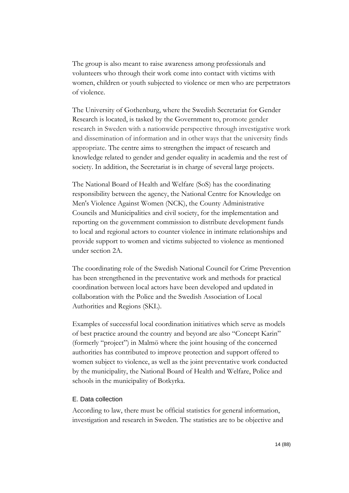The group is also meant to raise awareness among professionals and volunteers who through their work come into contact with victims with women, children or youth subjected to violence or men who are perpetrators of violence.

The University of Gothenburg, where the Swedish Secretariat for Gender Research is located, is tasked by the Government to, promote gender research in Sweden with a nationwide perspective through investigative work and dissemination of information and in other ways that the university finds appropriate. The centre aims to strengthen the impact of research and knowledge related to gender and gender equality in academia and the rest of society. In addition, the Secretariat is in charge of several large projects.

The National Board of Health and Welfare (SoS) has the coordinating responsibility between the agency, the National Centre for Knowledge on Men's Violence Against Women (NCK), the County Administrative Councils and Municipalities and civil society, for the implementation and reporting on the government commission to distribute development funds to local and regional actors to counter violence in intimate relationships and provide support to women and victims subjected to violence as mentioned under section 2A.

The coordinating role of the Swedish National Council for Crime Prevention has been strengthened in the preventative work and methods for practical coordination between local actors have been developed and updated in collaboration with the Police and the Swedish Association of Local Authorities and Regions (SKL).

Examples of successful local coordination initiatives which serve as models of best practice around the country and beyond are also "Concept Karin" (formerly "project") in Malmö where the joint housing of the concerned authorities has contributed to improve protection and support offered to women subject to violence, as well as the joint preventative work conducted by the municipality, the National Board of Health and Welfare, Police and schools in the municipality of Botkyrka.

## E. Data collection

According to law, there must be official statistics for general information, investigation and research in Sweden. The statistics are to be objective and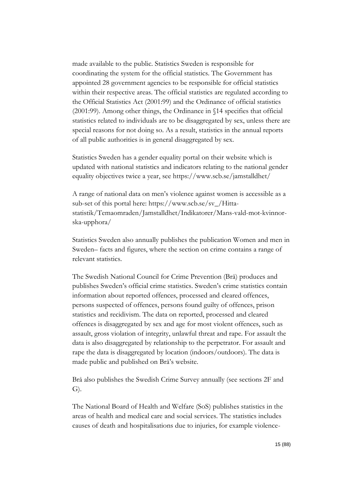made available to the public. Statistics Sweden is responsible for coordinating the system for the official statistics. The Government has appointed 28 government agencies to be responsible for official statistics within their respective areas. The official statistics are regulated according to the Official Statistics Act (2001:99) and the Ordinance of official statistics (2001:99). Among other things, the Ordinance in §14 specifies that official statistics related to individuals are to be disaggregated by sex, unless there are special reasons for not doing so. As a result, statistics in the annual reports of all public authorities is in general disaggregated by sex.

Statistics Sweden has a gender equality portal on their website which is updated with national statistics and indicators relating to the national gender equality objectives twice a year, see [https://www.scb.se/jamstalldhet/](https://www.scb.se/jamstalldhet/%20A) 

[A](https://www.scb.se/jamstalldhet/%20A) range of national data on men's violence against women is accessible as a sub-set of this portal here: [https://www.scb.se/sv\\_/Hitta](https://www.scb.se/sv_/Hitta-statistik/Temaomraden/Jamstalldhet/Indikatorer/Mans-vald-mot-kvinnor-ska-upphora/)[statistik/Temaomraden/Jamstalldhet/Indikatorer/Mans-vald-mot-kvinnor](https://www.scb.se/sv_/Hitta-statistik/Temaomraden/Jamstalldhet/Indikatorer/Mans-vald-mot-kvinnor-ska-upphora/)[ska-upphora/](https://www.scb.se/sv_/Hitta-statistik/Temaomraden/Jamstalldhet/Indikatorer/Mans-vald-mot-kvinnor-ska-upphora/)

Statistics Sweden also annually publishes the publication Women and men in Sweden– facts and figures, where the section on crime contains a range of relevant statistics.

The Swedish National Council for Crime Prevention (Brå) produces and publishes Sweden's official crime statistics. Sweden's crime statistics contain information about reported offences, processed and cleared offences, persons suspected of offences, persons found guilty of offences, prison statistics and recidivism. The data on reported, processed and cleared offences is disaggregated by sex and age for most violent offences, such as assault, gross violation of integrity, unlawful threat and rape. For assault the data is also disaggregated by relationship to the perpetrator. For assault and rape the data is disaggregated by location (indoors/outdoors). The data is made public and published on Brå's website.

Brå also publishes the Swedish Crime Survey annually (see sections 2F and G).

The National Board of Health and Welfare (SoS) publishes statistics in the areas of health and medical care and social services. The statistics includes causes of death and hospitalisations due to injuries, for example violence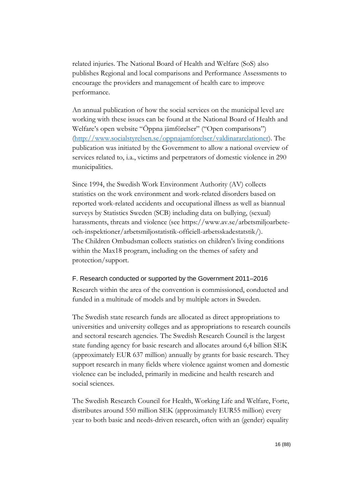related injuries. The National Board of Health and Welfare (SoS) also publishes Regional and local comparisons and Performance Assessments to encourage the providers and management of health care to improve performance.

An annual publication of how the social services on the municipal level are working with these issues can be found at the National Board of Health and Welfare's open website "Öppna jämförelser" ("Open comparisons") [\(http://www.socialstyrelsen.se/oppnajamforelser/valdinararelationer\)](http://www.socialstyrelsen.se/oppnajamforelser/valdinararelationer). The publication was initiated by the Government to allow a national overview of services related to, i.a., victims and perpetrators of domestic violence in 290 municipalities.

Since 1994, the Swedish Work Environment Authority (AV) collects statistics on the work environment and work-related disorders based on reported work-related accidents and occupational illness as well as biannual surveys by Statistics Sweden (SCB) including data on bullying, (sexual) harassments, threats and violence (see https://www.av.se/arbetsmiljoarbeteoch-inspektioner/arbetsmiljostatistik-officiell-arbetsskadestatstik/). The Children Ombudsman collects statistics on children's living conditions within the Max18 program, including on the themes of safety and protection/support.

## F. Research conducted or supported by the Government 2011–2016

Research within the area of the convention is commissioned, conducted and funded in a multitude of models and by multiple actors in Sweden.

The Swedish state research funds are allocated as direct appropriations to universities and university colleges and as appropriations to research councils and sectoral research agencies. The Swedish Research Council is the largest state funding agency for basic research and allocates around 6,4 billion SEK (approximately EUR 637 million) annually by grants for basic research. They support research in many fields where violence against women and domestic violence can be included, primarily in medicine and health research and social sciences.

The Swedish Research Council for Health, Working Life and Welfare, Forte, distributes around 550 million SEK (approximately EUR55 million) every year to both basic and needs-driven research, often with an (gender) equality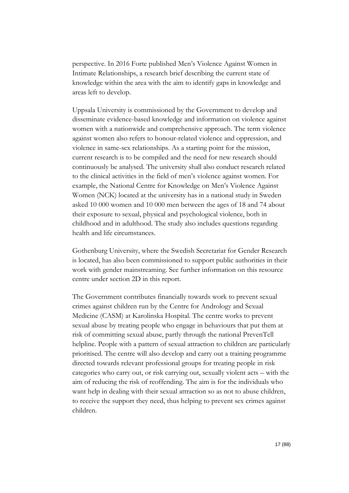perspective. In 2016 Forte published Men's Violence Against Women in Intimate Relationships, a research brief describing the current state of knowledge within the area with the aim to identify gaps in knowledge and areas left to develop.

Uppsala University is commissioned by the Government to develop and disseminate evidence-based knowledge and information on violence against women with a nationwide and comprehensive approach. The term violence against women also refers to honour-related violence and oppression, and violence in same-sex relationships. As a starting point for the mission, current research is to be compiled and the need for new research should continuously be analysed. The university shall also conduct research related to the clinical activities in the field of men's violence against women. For example, the National Centre for Knowledge on Men's Violence Against Women (NCK) located at the university has in a national study in Sweden asked 10 000 women and 10 000 men between the ages of 18 and 74 about their exposure to sexual, physical and psychological violence, both in childhood and in adulthood. The study also includes questions regarding health and life circumstances.

Gothenburg University, where the Swedish Secretariat for Gender Research is located, has also been commissioned to support public authorities in their work with gender mainstreaming. See further information on this resource centre under section 2D in this report.

The Government contributes financially towards work to prevent sexual crimes against children run by the Centre for Andrology and Sexual Medicine (CASM) at Karolinska Hospital. The centre works to prevent sexual abuse by treating people who engage in behaviours that put them at risk of committing sexual abuse, partly through the national PrevenTell helpline. People with a pattern of sexual attraction to children are particularly prioritised. The centre will also develop and carry out a training programme directed towards relevant professional groups for treating people in risk categories who carry out, or risk carrying out, sexually violent acts – with the aim of reducing the risk of reoffending. The aim is for the individuals who want help in dealing with their sexual attraction so as not to abuse children, to receive the support they need, thus helping to prevent sex crimes against children.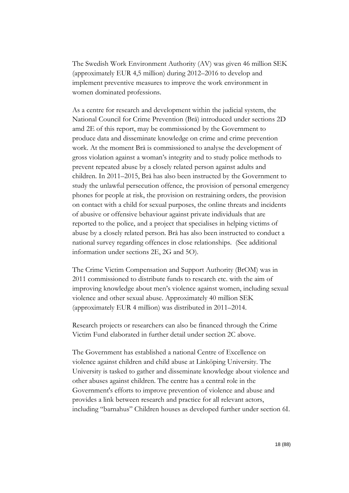The Swedish Work Environment Authority (AV) was given 46 million SEK (approximately EUR 4,5 million) during 2012–2016 to develop and implement preventive measures to improve the work environment in women dominated professions.

As a centre for research and development within the judicial system, the National Council for Crime Prevention (Brå) introduced under sections 2D amd 2E of this report, may be commissioned by the Government to produce data and disseminate knowledge on crime and crime prevention work. At the moment Brå is commissioned to analyse the development of gross violation against a woman's integrity and to study police methods to prevent repeated abuse by a closely related person against adults and children. In 2011–2015, Brå has also been instructed by the Government to study the unlawful persecution offence, the provision of personal emergency phones for people at risk, the provision on restraining orders, the provision on contact with a child for sexual purposes, the online threats and incidents of abusive or offensive behaviour against private individuals that are reported to the police, and a project that specialises in helping victims of abuse by a closely related person. Brå has also been instructed to conduct a national survey regarding offences in close relationships. (See additional information under sections 2E, 2G and 5O).

The Crime Victim Compensation and Support Authority (BrOM) was in 2011 commissioned to distribute funds to research etc. with the aim of improving knowledge about men's violence against women, including sexual violence and other sexual abuse. Approximately 40 million SEK (approximately EUR 4 million) was distributed in 2011–2014.

Research projects or researchers can also be financed through the Crime Victim Fund elaborated in further detail under section 2C above.

The Government has established a national Centre of Excellence on violence against children and child abuse at Linköping University. The University is tasked to gather and disseminate knowledge about violence and other abuses against children. The centre has a central role in the Government's efforts to improve prevention of violence and abuse and provides a link between research and practice for all relevant actors, including "barnahus" Children houses as developed further under section 6I.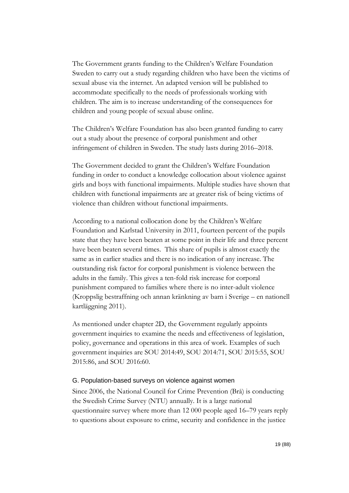The Government grants funding to the Children's Welfare Foundation Sweden to carry out a study regarding children who have been the victims of sexual abuse via the internet. An adapted version will be published to accommodate specifically to the needs of professionals working with children. The aim is to increase understanding of the consequences for children and young people of sexual abuse online.

The Children's Welfare Foundation has also been granted funding to carry out a study about the presence of corporal punishment and other infringement of children in Sweden. The study lasts during 2016–2018.

The Government decided to grant the Children's Welfare Foundation funding in order to conduct a knowledge collocation about violence against girls and boys with functional impairments. Multiple studies have shown that children with functional impairments are at greater risk of being victims of violence than children without functional impairments.

According to a national collocation done by the Children's Welfare Foundation and Karlstad University in 2011, fourteen percent of the pupils state that they have been beaten at some point in their life and three percent have been beaten several times. This share of pupils is almost exactly the same as in earlier studies and there is no indication of any increase. The outstanding risk factor for corporal punishment is violence between the adults in the family. This gives a ten-fold risk increase for corporal punishment compared to families where there is no inter-adult violence (Kroppslig bestraffning och annan kränkning av barn i Sverige – en nationell kartläggning 2011).

As mentioned under chapter 2D, the Government regularly appoints government inquiries to examine the needs and effectiveness of legislation, policy, governance and operations in this area of work. Examples of such government inquiries are SOU 2014:49, SOU 2014:71, SOU 2015:55, SOU 2015:86, and SOU 2016:60.

#### G. Population-based surveys on violence against women

Since 2006, the National Council for Crime Prevention (Brå) is conducting the Swedish Crime Survey (NTU) annually. It is a large national questionnaire survey where more than 12 000 people aged 16–79 years reply to questions about exposure to crime, security and confidence in the justice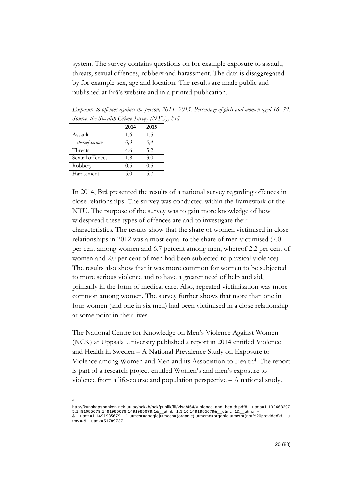system. The survey contains questions on for example exposure to assault, threats, sexual offences, robbery and harassment. The data is disaggregated by for example sex, age and location. The results are made public and published at Brå's website and in a printed publication.

*Exposure to offences against the person, 2014–2015. Percentage of girls and women aged 16–79. Source: the Swedish Crime Survey (NTU), Brå.*

|                 | 2014 | 2015 |
|-----------------|------|------|
| Assault         | 1,6  | 1,5  |
| thereof serious | 0.3  | 0.4  |
| Threats         | 4,6  | 5,2  |
| Sexual offences | 1,8  | 3,0  |
| Robbery         | 0.5  | 0,5  |
| Harassment      | 5,0  | 5.7  |

-4

In 2014, Brå presented the results of a national survey regarding offences in close relationships. The survey was conducted within the framework of the NTU. The purpose of the survey was to gain more knowledge of how widespread these types of offences are and to investigate their characteristics. The results show that the share of women victimised in close relationships in 2012 was almost equal to the share of men victimised (7.0 per cent among women and 6.7 percent among men, whereof 2.2 per cent of women and 2.0 per cent of men had been subjected to physical violence). The results also show that it was more common for women to be subjected to more serious violence and to have a greater need of help and aid, primarily in the form of medical care. Also, repeated victimisation was more common among women. The survey further shows that more than one in four women (and one in six men) had been victimised in a close relationship at some point in their lives.

The National Centre for Knowledge on Men's Violence Against Women (NCK) at Uppsala University published a report in 2014 entitled Violence and Health in Sweden – A National Prevalence Study on Exposure to Violence among Women and Men and its Association to Health<sup>4</sup>. The report is part of a research project entitled Women's and men's exposure to violence from a life-course and population perspective – A national study.

http://kunskapsbanken.nck.uu.se/nckkb/nck/publik/fil/visa/464/Violence\_and\_health.pdf#\_\_utma=1.102468297 5.1491985679.1491985679.1491985679.1&\_\_utmb=1.3.10.1491985679&\_\_utmc=1&\_\_utmx= -

<sup>&</sup>amp;\_\_utmz=1.1491985679.1.1.utmcsr=google|utmccn=(organic)|utmcmd=organic|utmctr=(not%20provided)&\_\_u tmv=-&\_\_utmk=51789737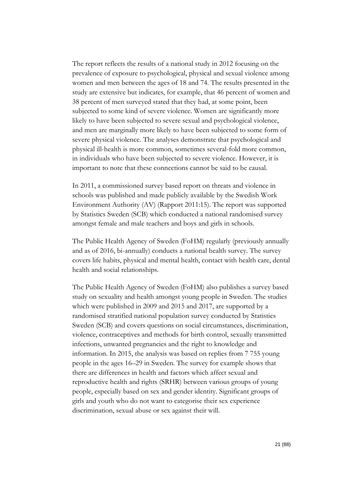The report reflects the results of a national study in 2012 focusing on the prevalence of exposure to psychological, physical and sexual violence among women and men between the ages of 18 and 74. The results presented in the study are extensive but indicates, for example, that 46 percent of women and 38 percent of men surveyed stated that they had, at some point, been subjected to some kind of severe violence. Women are significantly more likely to have been subjected to severe sexual and psychological violence, and men are marginally more likely to have been subjected to some form of severe physical violence. The analyses demonstrate that psychological and physical ill-health is more common, sometimes several-fold more common, in individuals who have been subjected to severe violence. However, it is important to note that these connections cannot be said to be causal.

In 2011, a commissioned survey based report on threats and violence in schools was published and made publicly available by the Swedish Work Environment Authority (AV) (Rapport 2011:15). The report was supported by Statistics Sweden (SCB) which conducted a national randomised survey amongst female and male teachers and boys and girls in schools.

The Public Health Agency of Sweden (FoHM) regularly (previously annually and as of 2016, bi-annually) conducts a national health survey. The survey covers life habits, physical and mental health, contact with health care, dental health and social relationships.

The Public Health Agency of Sweden (FoHM) also publishes a survey based study on sexuality and health amongst young people in Sweden. The studies which were published in 2009 and 2015 and 2017, are supported by a randomised stratified national population survey conducted by Statistics Sweden (SCB) and covers questions on social circumstances, discrimination, violence, contraceptives and methods for birth control, sexually transmitted infections, unwanted pregnancies and the right to knowledge and information. In 2015, the analysis was based on replies from 7 755 young people in the ages 16–29 in Sweden. The survey for example shows that there are differences in health and factors which affect sexual and reproductive health and rights (SRHR) between various groups of young people, especially based on sex and gender identity. Significant groups of girls and youth who do not want to categorise their sex experience discrimination, sexual abuse or sex against their will.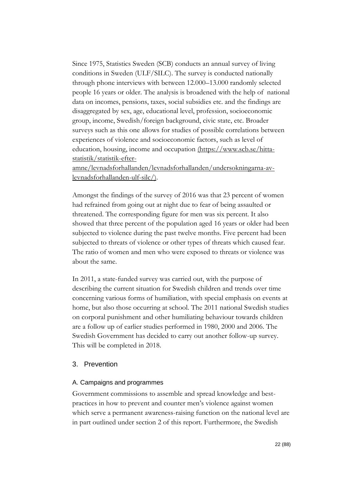Since 1975, Statistics Sweden (SCB) conducts an annual survey of living conditions in Sweden (ULF/SILC). The survey is conducted nationally through phone interviews with between 12.000–13.000 randomly selected people 16 years or older. The analysis is broadened with the help of national data on incomes, pensions, taxes, social subsidies etc. and the findings are disaggregated by sex, age, educational level, profession, socioeconomic group, income, Swedish/foreign background, civic state, etc. Broader surveys such as this one allows for studies of possible correlations between experiences of violence and socioeconomic factors, such as level of education, housing, income and occupation (https://www.scb.se/hittastatistik/statistik-efter-

amne/levnadsforhallanden/levnadsforhallanden/undersokningarna-avlevnadsforhallanden-ulf-silc/).

Amongst the findings of the survey of 2016 was that 23 percent of women had refrained from going out at night due to fear of being assaulted or threatened. The corresponding figure for men was six percent. It also showed that three percent of the population aged 16 years or older had been subjected to violence during the past twelve months. Five percent had been subjected to threats of violence or other types of threats which caused fear. The ratio of women and men who were exposed to threats or violence was about the same.

In 2011, a state-funded survey was carried out, with the purpose of describing the current situation for Swedish children and trends over time concerning various forms of humiliation, with special emphasis on events at home, but also those occurring at school. The 2011 national Swedish studies on corporal punishment and other humiliating behaviour towards children are a follow up of earlier studies performed in 1980, 2000 and 2006. The Swedish Government has decided to carry out another follow-up survey. This will be completed in 2018.

## 3. Prevention

# A. Campaigns and programmes

Government commissions to assemble and spread knowledge and bestpractices in how to prevent and counter men's violence against women which serve a permanent awareness-raising function on the national level are in part outlined under section 2 of this report. Furthermore, the Swedish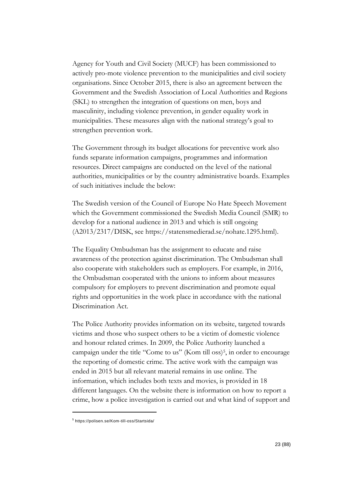Agency for Youth and Civil Society (MUCF) has been commissioned to actively pro-mote violence prevention to the municipalities and civil society organisations. Since October 2015, there is also an agreement between the Government and the Swedish Association of Local Authorities and Regions (SKL) to strengthen the integration of questions on men, boys and masculinity, including violence prevention, in gender equality work in municipalities. These measures align with the national strategy's goal to strengthen prevention work.

The Government through its budget allocations for preventive work also funds separate information campaigns, programmes and information resources. Direct campaigns are conducted on the level of the national authorities, municipalities or by the country administrative boards. Examples of such initiatives include the below:

The Swedish version of the Council of Europe No Hate Speech Movement which the Government commissioned the Swedish Media Council (SMR) to develop for a national audience in 2013 and which is still ongoing (A2013/2317/DISK, see [https://statensmedierad.se/nohate.1295.html\)](https://statensmedierad.se/nohate.1295.html).

The Equality Ombudsman has the assignment to educate and raise awareness of the protection against discrimination. The Ombudsman shall also cooperate with stakeholders such as employers. For example, in 2016, the Ombudsman cooperated with the unions to inform about measures compulsory for employers to prevent discrimination and promote equal rights and opportunities in the work place in accordance with the national Discrimination Act.

The Police Authority provides information on its website, targeted towards victims and those who suspect others to be a victim of domestic violence and honour related crimes. In 2009, the Police Authority launched a campaign under the title "Come to us" (Kom till oss)<sup>5</sup>, in order to encourage the reporting of domestic crime. The active work with the campaign was ended in 2015 but all relevant material remains in use online. The information, which includes both texts and movies, is provided in 18 different languages. On the website there is information on how to report a crime, how a police investigation is carried out and what kind of support and

-

<sup>5</sup> https://polisen.se/Kom-till-oss/Startsida/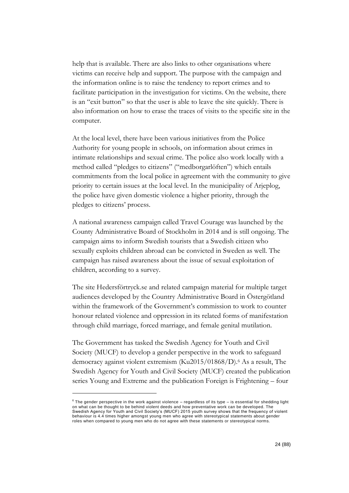help that is available. There are also links to other organisations where victims can receive help and support. The purpose with the campaign and the information online is to raise the tendency to report crimes and to facilitate participation in the investigation for victims. On the website, there is an "exit button" so that the user is able to leave the site quickly. There is also information on how to erase the traces of visits to the specific site in the computer.

At the local level, there have been various initiatives from the Police Authority for young people in schools, on information about crimes in intimate relationships and sexual crime. The police also work locally with a method called "pledges to citizens" ("medborgarlöften") which entails commitments from the local police in agreement with the community to give priority to certain issues at the local level. In the municipality of Arjeplog, the police have given domestic violence a higher priority, through the pledges to citizens' process.

A national awareness campaign called Travel Courage was launched by the County Administrative Board of Stockholm in 2014 and is still ongoing. The campaign aims to inform Swedish tourists that a Swedish citizen who sexually exploits children abroad can be convicted in Sweden as well. The campaign has raised awareness about the issue of sexual exploitation of children, according to a survey.

The site Hedersförtryck.se and related campaign material for multiple target audiences developed by the Country Administrative Board in Östergötland within the framework of the Government's commission to work to counter honour related violence and oppression in its related forms of manifestation through child marriage, forced marriage, and female genital mutilation.

The Government has tasked the Swedish Agency for Youth and Civil Society (MUCF) to develop a gender perspective in the work to safeguard democracy against violent extremism (Ku2015/01868/D).<sup>6</sup> As a result, The Swedish Agency for Youth and Civil Society (MUCF) created the publication series Young and Extreme and the publication Foreign is Frightening – four

-

 $6$  The gender perspective in the work against violence – regardless of its type – is essential for shedding light on what can be thought to be behind violent deeds and how preventative work can be developed. The Swedish Agency for Youth and Civil Society's (MUCF) 2015 youth survey shows that the frequency of violent behaviour is 4.4 times higher amongst young men who agree with stereotypical statements about gender roles when compared to young men who do not agree with these statements or stereotypical norms.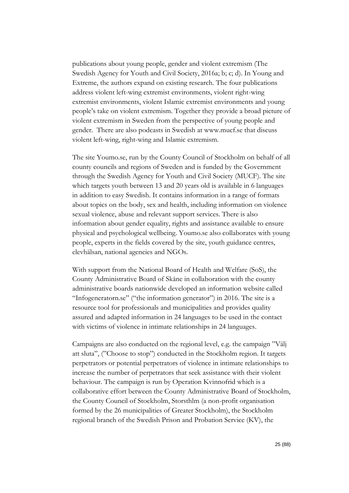publications about young people, gender and violent extremism (The Swedish Agency for Youth and Civil Society, 2016a; b; c; d). In Young and Extreme, the authors expand on existing research. The four publications address violent left-wing extremist environments, violent right-wing extremist environments, violent Islamic extremist environments and young people's take on violent extremism. Together they provide a broad picture of violent extremism in Sweden from the perspective of young people and gender. There are also podcasts in Swedish at [www.mucf.se](http://www.mucf.se/) that discuss violent left-wing, right-wing and Islamic extremism.

The site Youmo.se, run by the County Council of Stockholm on behalf of all county councils and regions of Sweden and is funded by the Government through the Swedish Agency for Youth and Civil Society (MUCF). The site which targets youth between 13 and 20 years old is available in 6 languages in addition to easy Swedish. It contains information in a range of formats about topics on the body, sex and health, including information on violence sexual violence, abuse and relevant support services. There is also information about gender equality, rights and assistance available to ensure physical and psychological wellbeing. Youmo.se also collaborates with young people, experts in the fields covered by the site, youth guidance centres, elevhälsan, national agencies and NGOs.

With support from the National Board of Health and Welfare (SoS), the County Administrative Board of Skåne in collaboration with the county administrative boards nationwide developed an information website called "Infogeneratorn.se" ("the information generator") in 2016. The site is a resource tool for professionals and municipalities and provides quality assured and adapted information in 24 languages to be used in the contact with victims of violence in intimate relationships in 24 languages.

Campaigns are also conducted on the regional level, e.g. the campaign "Välj att sluta", ("Choose to stop") conducted in the Stockholm region. It targets perpetrators or potential perpetrators of violence in intimate relationships to increase the number of perpetrators that seek assistance with their violent behaviour. The campaign is run by Operation Kvinnofrid which is a collaborative effort between the County Administrative Board of Stockholm, the County Council of Stockholm, Storsthlm (a non-profit organisation formed by the 26 municipalities of Greater Stockholm), the Stockholm regional branch of the Swedish Prison and Probation Service (KV), the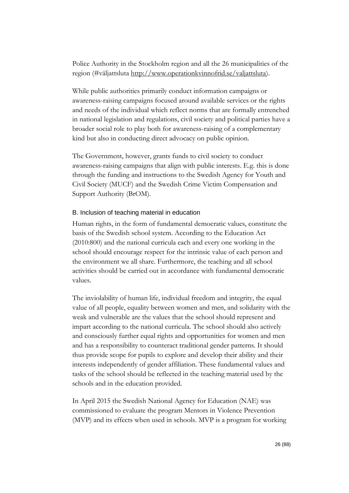Police Authority in the Stockholm region and all the 26 municipalities of the region (#väljattsluta [http://www.operationkvinnofrid.se/valjattsluta\)](http://www.operationkvinnofrid.se/valjattsluta).

While public authorities primarily conduct information campaigns or awareness-raising campaigns focused around available services or the rights and needs of the individual which reflect norms that are formally entrenched in national legislation and regulations, civil society and political parties have a broader social role to play both for awareness-raising of a complementary kind but also in conducting direct advocacy on public opinion.

The Government, however, grants funds to civil society to conduct awareness-raising campaigns that align with public interests. E.g. this is done through the funding and instructions to the Swedish Agency for Youth and Civil Society (MUCF) and the Swedish Crime Victim Compensation and Support Authority (BrOM).

## B. Inclusion of teaching material in education

Human rights, in the form of fundamental democratic values, constitute the basis of the Swedish school system. According to the Education Act (2010:800) and the national curricula each and every one working in the school should encourage respect for the intrinsic value of each person and the environment we all share. Furthermore, the teaching and all school activities should be carried out in accordance with fundamental democratic values.

The inviolability of human life, individual freedom and integrity, the equal value of all people, equality between women and men, and solidarity with the weak and vulnerable are the values that the school should represent and impart according to the national curricula. The school should also actively and consciously further equal rights and opportunities for women and men and has a responsibility to counteract traditional gender patterns. It should thus provide scope for pupils to explore and develop their ability and their interests independently of gender affiliation. These fundamental values and tasks of the school should be reflected in the teaching material used by the schools and in the education provided.

In April 2015 the Swedish National Agency for Education (NAE) was commissioned to evaluate the program Mentors in Violence Prevention (MVP) and its effects when used in schools. MVP is a program for working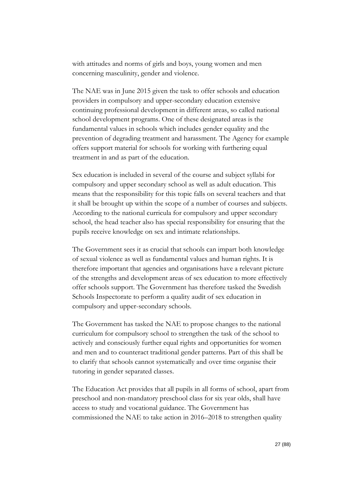with attitudes and norms of girls and boys, young women and men concerning masculinity, gender and violence.

The NAE was in June 2015 given the task to offer schools and education providers in compulsory and upper-secondary education extensive continuing professional development in different areas, so called national school development programs. One of these designated areas is the fundamental values in schools which includes gender equality and the prevention of degrading treatment and harassment. The Agency for example offers support material for schools for working with furthering equal treatment in and as part of the education.

Sex education is included in several of the course and subject syllabi for compulsory and upper secondary school as well as adult education. This means that the responsibility for this topic falls on several teachers and that it shall be brought up within the scope of a number of courses and subjects. According to the national curricula for compulsory and upper secondary school, the head teacher also has special responsibility for ensuring that the pupils receive knowledge on sex and intimate relationships.

The Government sees it as crucial that schools can impart both knowledge of sexual violence as well as fundamental values and human rights. It is therefore important that agencies and organisations have a relevant picture of the strengths and development areas of sex education to more effectively offer schools support. The Government has therefore tasked the Swedish Schools Inspectorate to perform a quality audit of sex education in compulsory and upper-secondary schools.

The Government has tasked the NAE to propose changes to the national curriculum for compulsory school to strengthen the task of the school to actively and consciously further equal rights and opportunities for women and men and to counteract traditional gender patterns. Part of this shall be to clarify that schools cannot systematically and over time organise their tutoring in gender separated classes.

The Education Act provides that all pupils in all forms of school, apart from preschool and non-mandatory preschool class for six year olds, shall have access to study and vocational guidance. The Government has commissioned the NAE to take action in 2016–2018 to strengthen quality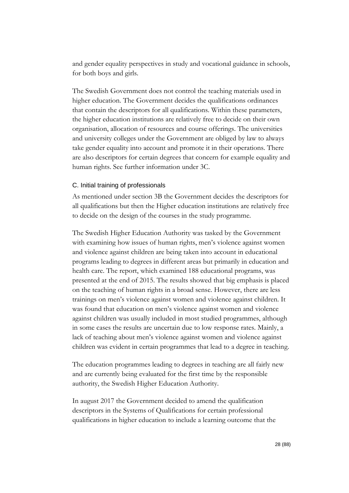and gender equality perspectives in study and vocational guidance in schools, for both boys and girls.

The Swedish Government does not control the teaching materials used in higher education. The Government decides the qualifications ordinances that contain the descriptors for all qualifications. Within these parameters, the higher education institutions are relatively free to decide on their own organisation, allocation of resources and course offerings. The universities and university colleges under the Government are obliged by law to always take gender equality into account and promote it in their operations. There are also descriptors for certain degrees that concern for example equality and human rights. See further information under 3C.

## C. Initial training of professionals

As mentioned under section 3B the Government decides the descriptors for all qualifications but then the Higher education institutions are relatively free to decide on the design of the courses in the study programme.

The Swedish Higher Education Authority was tasked by the Government with examining how issues of human rights, men's violence against women and violence against children are being taken into account in educational programs leading to degrees in different areas but primarily in education and health care. The report, which examined 188 educational programs, was presented at the end of 2015. The results showed that big emphasis is placed on the teaching of human rights in a broad sense. However, there are less trainings on men's violence against women and violence against children. It was found that education on men's violence against women and violence against children was usually included in most studied programmes, although in some cases the results are uncertain due to low response rates. Mainly, a lack of teaching about men's violence against women and violence against children was evident in certain programmes that lead to a degree in teaching.

The education programmes leading to degrees in teaching are all fairly new and are currently being evaluated for the first time by the responsible authority, the Swedish Higher Education Authority.

In august 2017 the Government decided to amend the qualification descriptors in the Systems of Qualifications for certain professional qualifications in higher education to include a learning outcome that the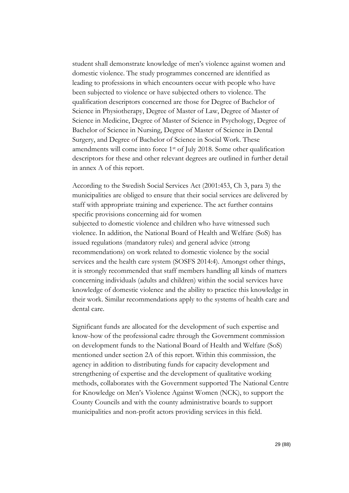student shall demonstrate knowledge of men's violence against women and domestic violence. The study programmes concerned are identified as leading to professions in which encounters occur with people who have been subjected to violence or have subjected others to violence. The qualification descriptors concerned are those for Degree of Bachelor of Science in Physiotherapy, Degree of Master of Law, Degree of Master of Science in Medicine, Degree of Master of Science in Psychology, Degree of Bachelor of Science in Nursing, Degree of Master of Science in Dental Surgery, and Degree of Bachelor of Science in Social Work. These amendments will come into force 1st of July 2018. Some other qualification descriptors for these and other relevant degrees are outlined in further detail in annex A of this report.

According to the Swedish Social Services Act (2001:453, Ch 3, para 3) the municipalities are obliged to ensure that their social services are delivered by staff with appropriate training and experience. The act further contains specific provisions concerning aid for women subjected to domestic violence and children who have witnessed such violence. In addition, the National Board of Health and Welfare (SoS) has issued regulations (mandatory rules) and general advice (strong recommendations) on work related to domestic violence by the social services and the health care system (SOSFS 2014:4). Amongst other things, it is strongly recommended that staff members handling all kinds of matters concerning individuals (adults and children) within the social services have knowledge of domestic violence and the ability to practice this knowledge in their work. Similar recommendations apply to the systems of health care and dental care.

Significant funds are allocated for the development of such expertise and know-how of the professional cadre through the Government commission on development funds to the National Board of Health and Welfare (SoS) mentioned under section 2A of this report. Within this commission, the agency in addition to distributing funds for capacity development and strengthening of expertise and the development of qualitative working methods, collaborates with the Government supported The National Centre for Knowledge on Men's Violence Against Women (NCK), to support the County Councils and with the county administrative boards to support municipalities and non-profit actors providing services in this field.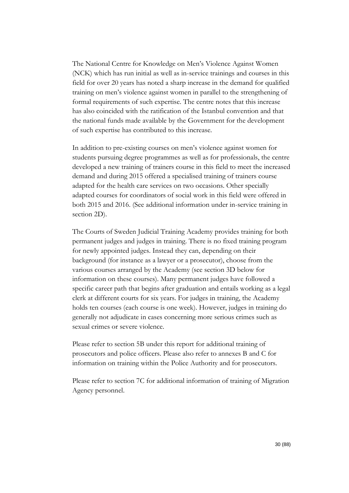The National Centre for Knowledge on Men's Violence Against Women (NCK) which has run initial as well as in-service trainings and courses in this field for over 20 years has noted a sharp increase in the demand for qualified training on men's violence against women in parallel to the strengthening of formal requirements of such expertise. The centre notes that this increase has also coincided with the ratification of the Istanbul convention and that the national funds made available by the Government for the development of such expertise has contributed to this increase.

In addition to pre-existing courses on men's violence against women for students pursuing degree programmes as well as for professionals, the centre developed a new training of trainers course in this field to meet the increased demand and during 2015 offered a specialised training of trainers course adapted for the health care services on two occasions. Other specially adapted courses for coordinators of social work in this field were offered in both 2015 and 2016. (See additional information under in-service training in section 2D).

The Courts of Sweden Judicial Training Academy provides training for both permanent judges and judges in training. There is no fixed training program for newly appointed judges. Instead they can, depending on their background (for instance as a lawyer or a prosecutor), choose from the various courses arranged by the Academy (see section 3D below for information on these courses). Many permanent judges have followed a specific career path that begins after graduation and entails working as a legal clerk at different courts for six years. For judges in training, the Academy holds ten courses (each course is one week). However, judges in training do generally not adjudicate in cases concerning more serious crimes such as sexual crimes or severe violence.

Please refer to section 5B under this report for additional training of prosecutors and police officers. Please also refer to annexes B and C for information on training within the Police Authority and for prosecutors.

Please refer to section 7C for additional information of training of Migration Agency personnel.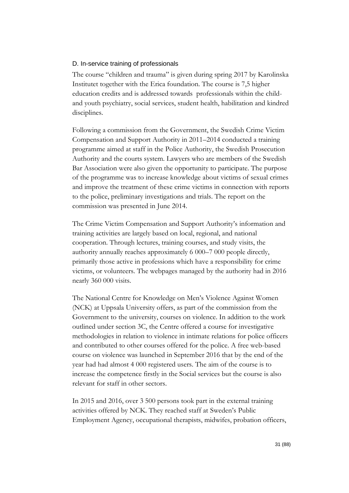## D. In-service training of professionals

The course "children and trauma" is given during spring 2017 by Karolinska Institutet together with the Erica foundation. The course is 7,5 higher education credits and is addressed towards professionals within the childand youth psychiatry, social services, student health, habilitation and kindred disciplines.

Following a commission from the Government, the Swedish Crime Victim Compensation and Support Authority in 2011–2014 conducted a training programme aimed at staff in the Police Authority, the Swedish Prosecution Authority and the courts system. Lawyers who are members of the Swedish Bar Association were also given the opportunity to participate. The purpose of the programme was to increase knowledge about victims of sexual crimes and improve the treatment of these crime victims in connection with reports to the police, preliminary investigations and trials. The report on the commission was presented in June 2014.

The Crime Victim Compensation and Support Authority's information and training activities are largely based on local, regional, and national cooperation. Through lectures, training courses, and study visits, the authority annually reaches approximately 6 000–7 000 people directly, primarily those active in professions which have a responsibility for crime victims, or volunteers. The webpages managed by the authority had in 2016 nearly 360 000 visits.

The National Centre for Knowledge on Men's Violence Against Women (NCK) at Uppsala University offers, as part of the commission from the Government to the university, courses on violence. In addition to the work outlined under section 3C, the Centre offered a course for investigative methodologies in relation to violence in intimate relations for police officers and contributed to other courses offered for the police. A free web-based course on violence was launched in September 2016 that by the end of the year had had almost 4 000 registered users. The aim of the course is to increase the competence firstly in the Social services but the course is also relevant for staff in other sectors.

In 2015 and 2016, over 3 500 persons took part in the external training activities offered by NCK. They reached staff at Sweden's Public Employment Agency, occupational therapists, midwifes, probation officers,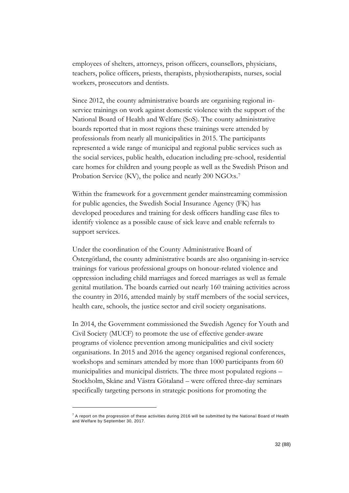employees of shelters, attorneys, prison officers, counsellors, physicians, teachers, police officers, priests, therapists, physiotherapists, nurses, social workers, prosecutors and dentists.

Since 2012, the county administrative boards are organising regional inservice trainings on work against domestic violence with the support of the National Board of Health and Welfare (SoS). The county administrative boards reported that in most regions these trainings were attended by professionals from nearly all municipalities in 2015. The participants represented a wide range of municipal and regional public services such as the social services, public health, education including pre-school, residential care homes for children and young people as well as the Swedish Prison and Probation Service (KV), the police and nearly 200 NGO:s.<sup>7</sup>

Within the framework for a government gender mainstreaming commission for public agencies, the Swedish Social Insurance Agency (FK) has developed procedures and training for desk officers handling case files to identify violence as a possible cause of sick leave and enable referrals to support services.

Under the coordination of the County Administrative Board of Östergötland, the county administrative boards are also organising in-service trainings for various professional groups on honour-related violence and oppression including child marriages and forced marriages as well as female genital mutilation. The boards carried out nearly 160 training activities across the country in 2016, attended mainly by staff members of the social services, health care, schools, the justice sector and civil society organisations.

In 2014, the Government commissioned the Swedish Agency for Youth and Civil Society (MUCF) to promote the use of effective gender-aware programs of violence prevention among municipalities and civil society organisations. In 2015 and 2016 the agency organised regional conferences, workshops and seminars attended by more than 1000 participants from 60 municipalities and municipal districts. The three most populated regions – Stockholm, Skåne and Västra Götaland – were offered three-day seminars specifically targeting persons in strategic positions for promoting the

-

 $^7$  A report on the progression of these activities during 2016 will be submitted by the National Board of Health and Welfare by September 30, 2017.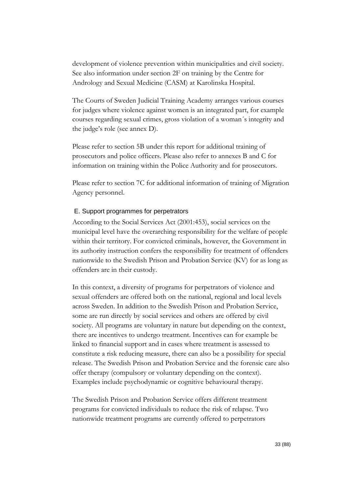development of violence prevention within municipalities and civil society. See also information under section 2F on training by the Centre for Andrology and Sexual Medicine (CASM) at Karolinska Hospital.

The Courts of Sweden Judicial Training Academy arranges various courses for judges where violence against women is an integrated part, for example courses regarding sexual crimes, gross violation of a woman´s integrity and the judge's role (see annex D).

Please refer to section 5B under this report for additional training of prosecutors and police officers. Please also refer to annexes B and C for information on training within the Police Authority and for prosecutors.

Please refer to section 7C for additional information of training of Migration Agency personnel.

# E. Support programmes for perpetrators

According to the Social Services Act (2001:453), social services on the municipal level have the overarching responsibility for the welfare of people within their territory. For convicted criminals, however, the Government in its authority instruction confers the responsibility for treatment of offenders nationwide to the Swedish Prison and Probation Service (KV) for as long as offenders are in their custody.

In this context, a diversity of programs for perpetrators of violence and sexual offenders are offered both on the national, regional and local levels across Sweden. In addition to the Swedish Prison and Probation Service, some are run directly by social services and others are offered by civil society. All programs are voluntary in nature but depending on the context, there are incentives to undergo treatment. Incentives can for example be linked to financial support and in cases where treatment is assessed to constitute a risk reducing measure, there can also be a possibility for special release. The Swedish Prison and Probation Service and the forensic care also offer therapy (compulsory or voluntary depending on the context). Examples include psychodynamic or cognitive behavioural therapy.

The Swedish Prison and Probation Service offers different treatment programs for convicted individuals to reduce the risk of relapse. Two nationwide treatment programs are currently offered to perpetrators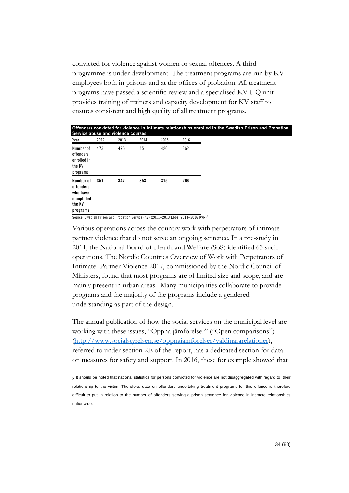convicted for violence against women or sexual offences. A third programme is under development. The treatment programs are run by KV employees both in prisons and at the offices of probation. All treatment programs have passed a scientific review and a specialised KV HQ unit provides training of trainers and capacity development for KV staff to ensures consistent and high quality of all treatment programs.

| Offenders convicted for violence in intimate relationships enrolled in the Swedish Prison and Probation<br>Service abuse and violence courses |      |      |      |      |      |  |  |  |  |  |
|-----------------------------------------------------------------------------------------------------------------------------------------------|------|------|------|------|------|--|--|--|--|--|
| Year                                                                                                                                          | 2012 | 2013 | 2014 | 2015 | 2016 |  |  |  |  |  |
| Number of<br>offenders<br>enrolled in<br>the KV<br>programs                                                                                   | 473  | 475  | 451  | 420  | 362  |  |  |  |  |  |
| Number of<br>offenders<br>who have<br>completed<br>the KV<br>programs                                                                         | 351  | 347  | 353  | 315  | 266  |  |  |  |  |  |

Source: Swedish Prison and Probation Service (KV) (2011–2013 Ebbe, 2014–2016 KVR)<sup>8</sup>

Various operations across the country work with perpetrators of intimate partner violence that do not serve an ongoing sentence. In a pre-study in 2011, the National Board of Health and Welfare (SoS) identified 63 such operations. The Nordic Countries Overview of Work with Perpetrators of Intimate Partner Violence 2017, commissioned by the Nordic Council of Ministers, found that most programs are of limited size and scope, and are mainly present in urban areas. Many municipalities collaborate to provide programs and the majority of the programs include a gendered understanding as part of the design.

The annual publication of how the social services on the municipal level are working with these issues, "Öppna jämförelser" ("Open comparisons") [\(http://www.socialstyrelsen.se/oppnajamforelser/valdinararelationer\)](http://www.socialstyrelsen.se/oppnajamforelser/valdinararelationer), referred to under section 2E of the report, has a dedicated section for data on measures for safety and support. In 2016, these for example showed that

<sup>-</sup> $8$  It should be noted that national statistics for persons convicted for violence are not disaggregated with regard to their relationship to the victim. Therefore, data on offenders undertaking treatment programs for this offence is therefore difficult to put in relation to the number of offenders serving a prison sentence for violence in intimate relationships nationwide.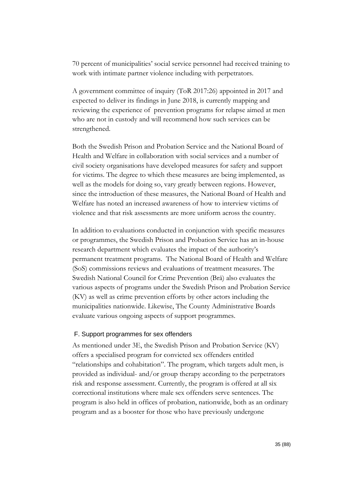70 percent of municipalities' social service personnel had received training to work with intimate partner violence including with perpetrators.

A government committee of inquiry (ToR 2017:26) appointed in 2017 and expected to deliver its findings in June 2018, is currently mapping and reviewing the experience of prevention programs for relapse aimed at men who are not in custody and will recommend how such services can be strengthened.

Both the Swedish Prison and Probation Service and the National Board of Health and Welfare in collaboration with social services and a number of civil society organisations have developed measures for safety and support for victims. The degree to which these measures are being implemented, as well as the models for doing so, vary greatly between regions. However, since the introduction of these measures, the National Board of Health and Welfare has noted an increased awareness of how to interview victims of violence and that risk assessments are more uniform across the country.

In addition to evaluations conducted in conjunction with specific measures or programmes, the Swedish Prison and Probation Service has an in-house research department which evaluates the impact of the authority's permanent treatment programs. The National Board of Health and Welfare (SoS) commissions reviews and evaluations of treatment measures. The Swedish National Council for Crime Prevention (Brå) also evaluates the various aspects of programs under the Swedish Prison and Probation Service (KV) as well as crime prevention efforts by other actors including the municipalities nationwide. Likewise, The County Administrative Boards evaluate various ongoing aspects of support programmes.

## F. Support programmes for sex offenders

As mentioned under 3E, the Swedish Prison and Probation Service (KV) offers a specialised program for convicted sex offenders entitled "relationships and cohabitation". The program, which targets adult men, is provided as individual- and/or group therapy according to the perpetrators risk and response assessment. Currently, the program is offered at all six correctional institutions where male sex offenders serve sentences. The program is also held in offices of probation, nationwide, both as an ordinary program and as a booster for those who have previously undergone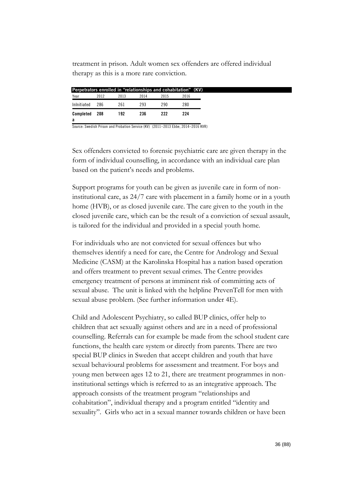treatment in prison. Adult women sex offenders are offered individual therapy as this is a more rare conviction.

|             |      | Perpetrators enrolled in "relationships and cohabitation" (KV) |      |      |      |
|-------------|------|----------------------------------------------------------------|------|------|------|
| Year        | 2012 | 2013                                                           | 2014 | 2015 | 2016 |
| Inlnitiated | 286  | 261                                                            | 293  | 290  | 280  |
| Completed   | 208  | 192                                                            | 236  | 222  | 224  |
| a           |      |                                                                |      |      |      |

Source: Swedish Prison and Probation Service (KV) (2011–2013 Ebbe, 2014–2016 KVR)

Sex offenders convicted to forensic psychiatric care are given therapy in the form of individual counselling, in accordance with an individual care plan based on the patient's needs and problems.

Support programs for youth can be given as juvenile care in form of noninstitutional care, as 24/7 care with placement in a family home or in a youth home (HVB), or as closed juvenile care. The care given to the youth in the closed juvenile care, which can be the result of a conviction of sexual assault, is tailored for the individual and provided in a special youth home.

For individuals who are not convicted for sexual offences but who themselves identify a need for care, the Centre for Andrology and Sexual Medicine (CASM) at the Karolinska Hospital has a nation based operation and offers treatment to prevent sexual crimes. The Centre provides emergency treatment of persons at imminent risk of committing acts of sexual abuse. The unit is linked with the helpline PrevenTell for men with sexual abuse problem. (See further information under 4E).

Child and Adolescent Psychiatry, so called BUP clinics, offer help to children that act sexually against others and are in a need of professional counselling. Referrals can for example be made from the school student care functions, the health care system or directly from parents. There are two special BUP clinics in Sweden that accept children and youth that have sexual behavioural problems for assessment and treatment. For boys and young men between ages 12 to 21, there are treatment programmes in noninstitutional settings which is referred to as an integrative approach. The approach consists of the treatment program "relationships and cohabitation", individual therapy and a program entitled "identity and sexuality". Girls who act in a sexual manner towards children or have been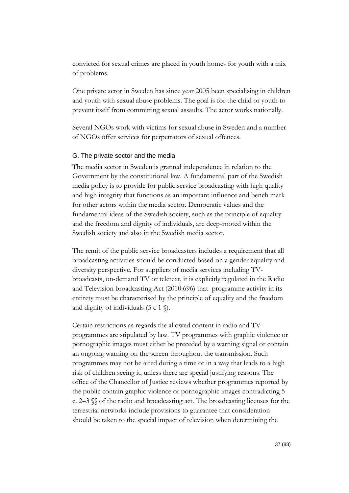convicted for sexual crimes are placed in youth homes for youth with a mix of problems.

One private actor in Sweden has since year 2005 been specialising in children and youth with sexual abuse problems. The goal is for the child or youth to prevent itself from committing sexual assaults. The actor works nationally.

Several NGOs work with victims for sexual abuse in Sweden and a number of NGOs offer services for perpetrators of sexual offences.

#### G. The private sector and the media

The media sector in Sweden is granted independence in relation to the Government by the constitutional law. A fundamental part of the Swedish media policy is to provide for public service broadcasting with high quality and high integrity that functions as an important influence and bench mark for other actors within the media sector. Democratic values and the fundamental ideas of the Swedish society, such as the principle of equality and the freedom and dignity of individuals, are deep-rooted within the Swedish society and also in the Swedish media sector.

The remit of the public service broadcasters includes a requirement that all broadcasting activities should be conducted based on a gender equality and diversity perspective. For suppliers of media services including TVbroadcasts, on-demand TV or teletext, it is explicitly regulated in the Radio and Television broadcasting Act (2010:696) that programme activity in its entirety must be characterised by the principle of equality and the freedom and dignity of individuals  $(5 \text{ c } 1 \text{ } \textcircled{k})$ .

Certain restrictions as regards the allowed content in radio and TVprogrammes are stipulated by law. TV programmes with graphic violence or pornographic images must either be preceded by a warning signal or contain an ongoing warning on the screen throughout the transmission. Such programmes may not be aired during a time or in a way that leads to a high risk of children seeing it, unless there are special justifying reasons. The office of the Chancellor of Justice reviews whether programmes reported by the public contain graphic violence or pornographic images contradicting 5 c. 2–3 §§ of the radio and broadcasting act. The broadcasting licenses for the terrestrial networks include provisions to guarantee that consideration should be taken to the special impact of television when determining the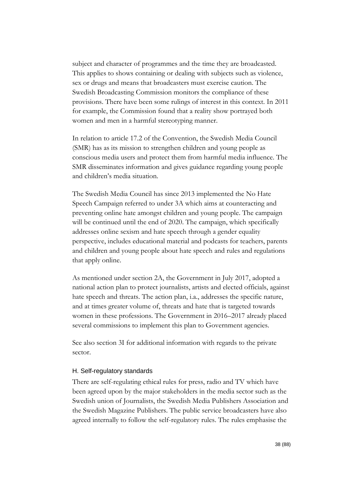subject and character of programmes and the time they are broadcasted. This applies to shows containing or dealing with subjects such as violence, sex or drugs and means that broadcasters must exercise caution. The Swedish Broadcasting Commission monitors the compliance of these provisions. There have been some rulings of interest in this context. In 2011 for example, the Commission found that a reality show portrayed both women and men in a harmful stereotyping manner.

In relation to article 17.2 of the Convention, the Swedish Media Council (SMR) has as its mission to strengthen children and young people as conscious media users and protect them from harmful media influence. The SMR disseminates information and gives guidance regarding young people and children's media situation.

The Swedish Media Council has since 2013 implemented the No Hate Speech Campaign referred to under 3A which aims at counteracting and preventing online hate amongst children and young people. The campaign will be continued until the end of 2020. The campaign, which specifically addresses online sexism and hate speech through a gender equality perspective, includes educational material and podcasts for teachers, parents and children and young people about hate speech and rules and regulations that apply online.

As mentioned under section 2A, the Government in July 2017, adopted a national action plan to protect journalists, artists and elected officials, against hate speech and threats. The action plan, i.a., addresses the specific nature, and at times greater volume of, threats and hate that is targeted towards women in these professions. The Government in 2016–2017 already placed several commissions to implement this plan to Government agencies.

See also section 3I for additional information with regards to the private sector.

### H. Self-regulatory standards

There are self-regulating ethical rules for press, radio and TV which have been agreed upon by the major stakeholders in the media sector such as the Swedish union of Journalists, the Swedish Media Publishers Association and the Swedish Magazine Publishers. The public service broadcasters have also agreed internally to follow the self-regulatory rules. The rules emphasise the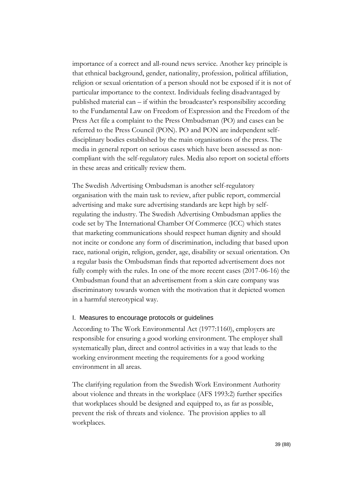importance of a correct and all-round news service. Another key principle is that ethnical background, gender, nationality, profession, political affiliation, religion or sexual orientation of a person should not be exposed if it is not of particular importance to the context. Individuals feeling disadvantaged by published material can – if within the broadcaster's responsibility according to the Fundamental Law on Freedom of Expression and the Freedom of the Press Act file a complaint to the Press Ombudsman (PO) and cases can be referred to the Press Council (PON). PO and PON are independent selfdisciplinary bodies established by the main organisations of the press. The media in general report on serious cases which have been assessed as noncompliant with the self-regulatory rules. Media also report on societal efforts in these areas and critically review them.

The Swedish Advertising Ombudsman is another self-regulatory organisation with the main task to review, after public report, commercial advertising and make sure advertising standards are kept high by selfregulating the industry. The Swedish Advertising Ombudsman applies the code set by The International Chamber Of Commerce (ICC) which states that marketing communications should respect human dignity and should not incite or condone any form of discrimination, including that based upon race, national origin, religion, gender, age, disability or sexual orientation. On a regular basis the Ombudsman finds that reported advertisement does not fully comply with the rules. In one of the more recent cases (2017-06-16) the Ombudsman found that an advertisement from a skin care company was discriminatory towards women with the motivation that it depicted women in a harmful stereotypical way.

### I. Measures to encourage protocols or guidelines

According to The Work Environmental Act (1977:1160), employers are responsible for ensuring a good working environment. The employer shall systematically plan, direct and control activities in a way that leads to the working environment meeting the requirements for a good working environment in all areas.

The clarifying regulation from the Swedish Work Environment Authority about violence and threats in the workplace (AFS 1993:2) further specifies that workplaces should be designed and equipped to, as far as possible, prevent the risk of threats and violence. The provision applies to all workplaces.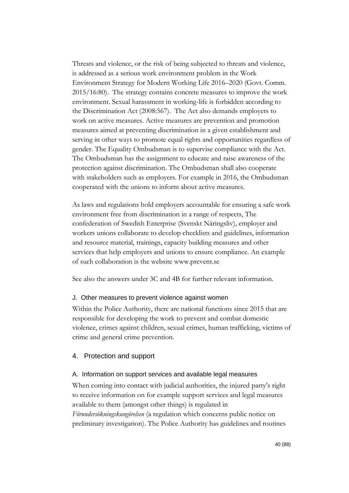Threats and violence, or the risk of being subjected to threats and violence, is addressed as a serious work environment problem in the Work Environment Strategy for Modern Working Life 2016–2020 (Govt. Comm. 2015/16:80). The strategy contains concrete measures to improve the work environment. Sexual harassment in working-life is forbidden according to the Discrimination Act (2008:567). The Act also demands employers to work on active measures. Active measures are prevention and promotion measures aimed at preventing discrimination in a given establishment and serving in other ways to promote equal rights and opportunities regardless of gender. The Equality Ombudsman is to supervise compliance with the Act. The Ombudsman has the assignment to educate and raise awareness of the protection against discrimination. The Ombudsman shall also cooperate with stakeholders such as employers. For example in 2016, the Ombudsman cooperated with the unions to inform about active measures.

As laws and regulations hold employers accountable for ensuring a safe work environment free from discrimination in a range of respects, The confederation of Swedish Enterprise (Svenskt Näringsliv), employer and workers unions collaborate to develop checklists and guidelines, information and resource material, trainings, capacity building measures and other services that help employers and unions to ensure compliance. An example of such collaboration is the website www.prevent.se

See also the answers under 3C and 4B for further relevant information.

### J. Other measures to prevent violence against women

Within the Police Authority, there are national functions since 2015 that are responsible for developing the work to prevent and combat domestic violence, crimes against children, sexual crimes, human trafficking, victims of crime and general crime prevention.

# 4. Protection and support

### A. Information on support services and available legal measures

When coming into contact with judicial authorities, the injured party's right to receive information on for example support services and legal measures available to them (amongst other things) is regulated in *Förundersökningskungörelsen* (a regulation which concerns public notice on preliminary investigation). The Police Authority has guidelines and routines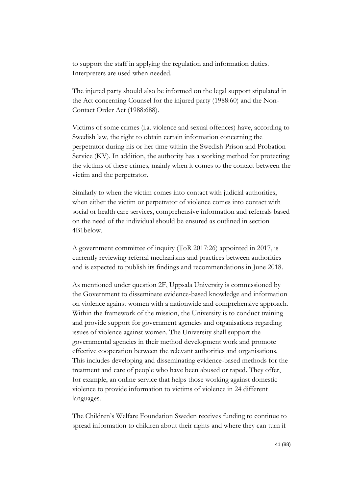to support the staff in applying the regulation and information duties. Interpreters are used when needed.

The injured party should also be informed on the legal support stipulated in the Act concerning Counsel for the injured party (1988:60) and the Non-Contact Order Act (1988:688).

Victims of some crimes (i.a. violence and sexual offences) have, according to Swedish law, the right to obtain certain information concerning the perpetrator during his or her time within the Swedish Prison and Probation Service (KV). In addition, the authority has a working method for protecting the victims of these crimes, mainly when it comes to the contact between the victim and the perpetrator.

Similarly to when the victim comes into contact with judicial authorities, when either the victim or perpetrator of violence comes into contact with social or health care services, comprehensive information and referrals based on the need of the individual should be ensured as outlined in section 4B1below.

A government committee of inquiry (ToR 2017:26) appointed in 2017, is currently reviewing referral mechanisms and practices between authorities and is expected to publish its findings and recommendations in June 2018.

As mentioned under question 2F, Uppsala University is commissioned by the Government to disseminate evidence-based knowledge and information on violence against women with a nationwide and comprehensive approach. Within the framework of the mission, the University is to conduct training and provide support for government agencies and organisations regarding issues of violence against women. The University shall support the governmental agencies in their method development work and promote effective cooperation between the relevant authorities and organisations. This includes developing and disseminating evidence-based methods for the treatment and care of people who have been abused or raped. They offer, for example, an online service that helps those working against domestic violence to provide information to victims of violence in 24 different languages.

The Children's Welfare Foundation Sweden receives funding to continue to spread information to children about their rights and where they can turn if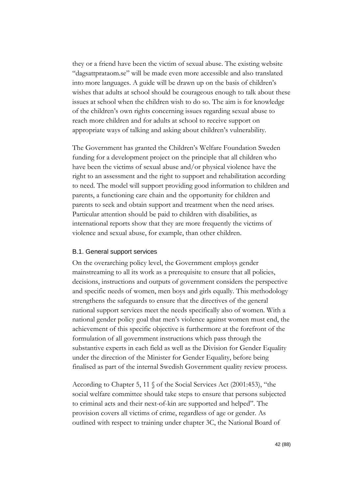they or a friend have been the victim of sexual abuse. The existing website "dagsattprataom.se" will be made even more accessible and also translated into more languages. A guide will be drawn up on the basis of children's wishes that adults at school should be courageous enough to talk about these issues at school when the children wish to do so. The aim is for knowledge of the children's own rights concerning issues regarding sexual abuse to reach more children and for adults at school to receive support on appropriate ways of talking and asking about children's vulnerability.

The Government has granted the Children's Welfare Foundation Sweden funding for a development project on the principle that all children who have been the victims of sexual abuse and/or physical violence have the right to an assessment and the right to support and rehabilitation according to need. The model will support providing good information to children and parents, a functioning care chain and the opportunity for children and parents to seek and obtain support and treatment when the need arises. Particular attention should be paid to children with disabilities, as international reports show that they are more frequently the victims of violence and sexual abuse, for example, than other children.

#### B.1. General support services

On the overarching policy level, the Government employs gender mainstreaming to all its work as a prerequisite to ensure that all policies, decisions, instructions and outputs of government considers the perspective and specific needs of women, men boys and girls equally. This methodology strengthens the safeguards to ensure that the directives of the general national support services meet the needs specifically also of women. With a national gender policy goal that men's violence against women must end, the achievement of this specific objective is furthermore at the forefront of the formulation of all government instructions which pass through the substantive experts in each field as well as the Division for Gender Equality under the direction of the Minister for Gender Equality, before being finalised as part of the internal Swedish Government quality review process.

According to Chapter 5, 11 § of the Social Services Act (2001:453), "the social welfare committee should take steps to ensure that persons subjected to criminal acts and their next-of-kin are supported and helped". The provision covers all victims of crime, regardless of age or gender. As outlined with respect to training under chapter 3C, the National Board of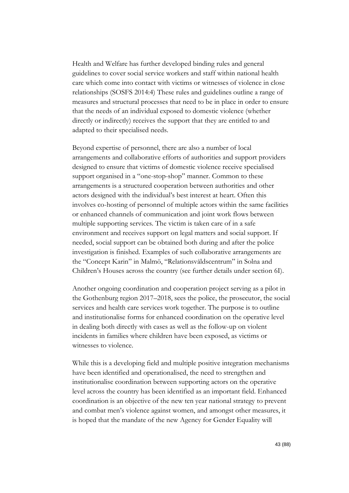Health and Welfare has further developed binding rules and general guidelines to cover social service workers and staff within national health care which come into contact with victims or witnesses of violence in close relationships (SOSFS 2014:4) These rules and guidelines outline a range of measures and structural processes that need to be in place in order to ensure that the needs of an individual exposed to domestic violence (whether directly or indirectly) receives the support that they are entitled to and adapted to their specialised needs.

Beyond expertise of personnel, there are also a number of local arrangements and collaborative efforts of authorities and support providers designed to ensure that victims of domestic violence receive specialised support organised in a "one-stop-shop" manner. Common to these arrangements is a structured cooperation between authorities and other actors designed with the individual's best interest at heart. Often this involves co-hosting of personnel of multiple actors within the same facilities or enhanced channels of communication and joint work flows between multiple supporting services. The victim is taken care of in a safe environment and receives support on legal matters and social support. If needed, social support can be obtained both during and after the police investigation is finished. Examples of such collaborative arrangements are the "Concept Karin" in Malmö, "Relationsvåldscentrum" in Solna and Children's Houses across the country (see further details under section 6I).

Another ongoing coordination and cooperation project serving as a pilot in the Gothenburg region 2017–2018, sees the police, the prosecutor, the social services and health care services work together. The purpose is to outline and institutionalise forms for enhanced coordination on the operative level in dealing both directly with cases as well as the follow-up on violent incidents in families where children have been exposed, as victims or witnesses to violence.

While this is a developing field and multiple positive integration mechanisms have been identified and operationalised, the need to strengthen and institutionalise coordination between supporting actors on the operative level across the country has been identified as an important field. Enhanced coordination is an objective of the new ten year national strategy to prevent and combat men's violence against women, and amongst other measures, it is hoped that the mandate of the new Agency for Gender Equality will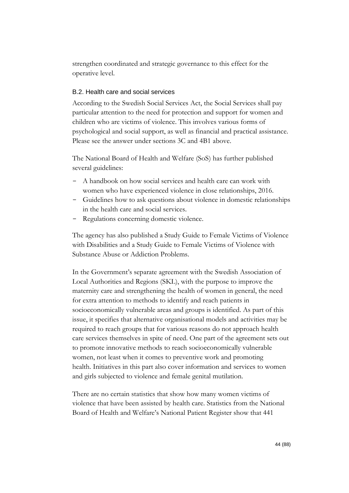strengthen coordinated and strategic governance to this effect for the operative level.

### B.2. Health care and social services

According to the Swedish Social Services Act, the Social Services shall pay particular attention to the need for protection and support for women and children who are victims of violence. This involves various forms of psychological and social support, as well as financial and practical assistance. Please see the answer under sections 3C and 4B1 above.

The National Board of Health and Welfare (SoS) has further published several guidelines:

- A handbook on how social services and health care can work with women who have experienced violence in close relationships, 2016.
- Guidelines how to ask questions about violence in domestic relationships in the health care and social services.
- Regulations concerning domestic violence.

The agency has also published a Study Guide to Female Victims of Violence with Disabilities and a Study Guide to Female Victims of Violence with Substance Abuse or Addiction Problems.

In the Government's separate agreement with the Swedish Association of Local Authorities and Regions (SKL), with the purpose to improve the maternity care and strengthening the health of women in general, the need for extra attention to methods to identify and reach patients in socioeconomically vulnerable areas and groups is identified. As part of this issue, it specifies that alternative organisational models and activities may be required to reach groups that for various reasons do not approach health care services themselves in spite of need. One part of the agreement sets out to promote innovative methods to reach socioeconomically vulnerable women, not least when it comes to preventive work and promoting health. Initiatives in this part also cover information and services to women and girls subjected to violence and female genital mutilation.

There are no certain statistics that show how many women victims of violence that have been assisted by health care. Statistics from the National Board of Health and Welfare's National Patient Register show that 441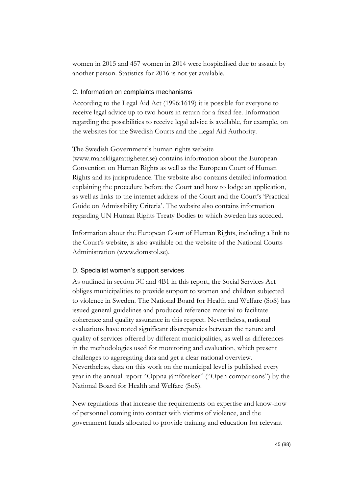women in 2015 and 457 women in 2014 were hospitalised due to assault by another person. Statistics for 2016 is not yet available.

#### C. Information on complaints mechanisms

According to the Legal Aid Act (1996:1619) it is possible for everyone to receive legal advice up to two hours in return for a fixed fee. Information regarding the possibilities to receive legal advice is available, for example, on the websites for the Swedish Courts and the Legal Aid Authority.

#### The Swedish Government's human rights website

[\(www.manskligarattigheter.se\)](http://www.manskligarattigheter.se/) contains information about the European Convention on Human Rights as well as the European Court of Human Rights and its jurisprudence. The website also contains detailed information explaining the procedure before the Court and how to lodge an application, as well as links to the internet address of the Court and the Court's 'Practical Guide on Admissibility Criteria'. The website also contains information regarding UN Human Rights Treaty Bodies to which Sweden has acceded.

Information about the European Court of Human Rights, including a link to the Court's website, is also available on the website of the National Courts Administration (www.domstol.se).

#### D. Specialist women's support services

As outlined in section 3C and 4B1 in this report, the Social Services Act obliges municipalities to provide support to women and children subjected to violence in Sweden. The National Board for Health and Welfare (SoS) has issued general guidelines and produced reference material to facilitate coherence and quality assurance in this respect. Nevertheless, national evaluations have noted significant discrepancies between the nature and quality of services offered by different municipalities, as well as differences in the methodologies used for monitoring and evaluation, which present challenges to aggregating data and get a clear national overview. Nevertheless, data on this work on the municipal level is published every year in the annual report "Öppna jämförelser" ("Open comparisons") by the National Board for Health and Welfare (SoS).

New regulations that increase the requirements on expertise and know-how of personnel coming into contact with victims of violence, and the government funds allocated to provide training and education for relevant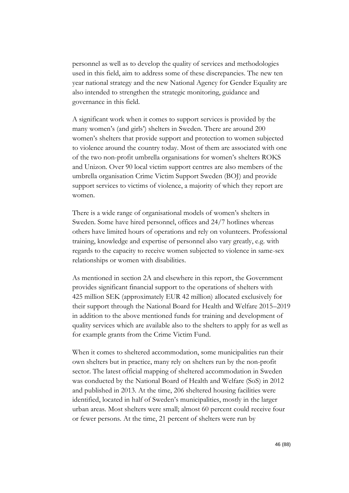personnel as well as to develop the quality of services and methodologies used in this field, aim to address some of these discrepancies. The new ten year national strategy and the new National Agency for Gender Equality are also intended to strengthen the strategic monitoring, guidance and governance in this field.

A significant work when it comes to support services is provided by the many women's (and girls') shelters in Sweden. There are around 200 women's shelters that provide support and protection to women subjected to violence around the country today. Most of them are associated with one of the two non-profit umbrella organisations for women's shelters ROKS and Unizon. Over 90 local victim support centres are also members of the umbrella organisation Crime Victim Support Sweden (BOJ) and provide support services to victims of violence, a majority of which they report are women.

There is a wide range of organisational models of women's shelters in Sweden. Some have hired personnel, offices and 24/7 hotlines whereas others have limited hours of operations and rely on volunteers. Professional training, knowledge and expertise of personnel also vary greatly, e.g. with regards to the capacity to receive women subjected to violence in same-sex relationships or women with disabilities.

As mentioned in section 2A and elsewhere in this report, the Government provides significant financial support to the operations of shelters with 425 million SEK (approximately EUR 42 million) allocated exclusively for their support through the National Board for Health and Welfare 2015–2019 in addition to the above mentioned funds for training and development of quality services which are available also to the shelters to apply for as well as for example grants from the Crime Victim Fund.

When it comes to sheltered accommodation, some municipalities run their own shelters but in practice, many rely on shelters run by the non-profit sector. The latest official mapping of sheltered accommodation in Sweden was conducted by the National Board of Health and Welfare (SoS) in 2012 and published in 2013. At the time, 206 sheltered housing facilities were identified, located in half of Sweden's municipalities, mostly in the larger urban areas. Most shelters were small; almost 60 percent could receive four or fewer persons. At the time, 21 percent of shelters were run by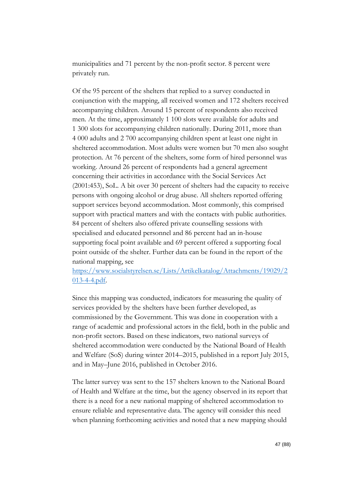municipalities and 71 percent by the non-profit sector. 8 percent were privately run.

Of the 95 percent of the shelters that replied to a survey conducted in conjunction with the mapping, all received women and 172 shelters received accompanying children. Around 15 percent of respondents also received men. At the time, approximately 1 100 slots were available for adults and 1 300 slots for accompanying children nationally. During 2011, more than 4 000 adults and 2 700 accompanying children spent at least one night in sheltered accommodation. Most adults were women but 70 men also sought protection. At 76 percent of the shelters, some form of hired personnel was working. Around 26 percent of respondents had a general agreement concerning their activities in accordance with the Social Services Act (2001:453), SoL. A bit over 30 percent of shelters had the capacity to receive persons with ongoing alcohol or drug abuse. All shelters reported offering support services beyond accommodation. Most commonly, this comprised support with practical matters and with the contacts with public authorities. 84 percent of shelters also offered private counselling sessions with specialised and educated personnel and 86 percent had an in-house supporting focal point available and 69 percent offered a supporting focal point outside of the shelter. Further data can be found in the report of the national mapping, see

[https://www.socialstyrelsen.se/Lists/Artikelkatalog/Attachments/19029/2](https://www.socialstyrelsen.se/Lists/Artikelkatalog/Attachments/19029/2013-4-4.pdf) [013-4-4.pdf.](https://www.socialstyrelsen.se/Lists/Artikelkatalog/Attachments/19029/2013-4-4.pdf)

Since this mapping was conducted, indicators for measuring the quality of services provided by the shelters have been further developed, as commissioned by the Government. This was done in cooperation with a range of academic and professional actors in the field, both in the public and non-profit sectors. Based on these indicators, two national surveys of sheltered accommodation were conducted by the National Board of Health and Welfare (SoS) during winter 2014–2015, published in a report July 2015, and in May–June 2016, published in October 2016.

The latter survey was sent to the 157 shelters known to the National Board of Health and Welfare at the time, but the agency observed in its report that there is a need for a new national mapping of sheltered accommodation to ensure reliable and representative data. The agency will consider this need when planning forthcoming activities and noted that a new mapping should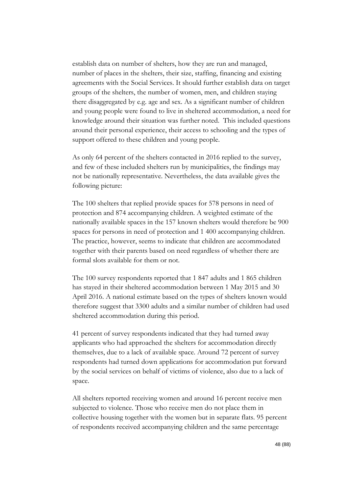establish data on number of shelters, how they are run and managed, number of places in the shelters, their size, staffing, financing and existing agreements with the Social Services. It should further establish data on target groups of the shelters, the number of women, men, and children staying there disaggregated by e.g. age and sex. As a significant number of children and young people were found to live in sheltered accommodation, a need for knowledge around their situation was further noted. This included questions around their personal experience, their access to schooling and the types of support offered to these children and young people.

As only 64 percent of the shelters contacted in 2016 replied to the survey, and few of these included shelters run by municipalities, the findings may not be nationally representative. Nevertheless, the data available gives the following picture:

The 100 shelters that replied provide spaces for 578 persons in need of protection and 874 accompanying children. A weighted estimate of the nationally available spaces in the 157 known shelters would therefore be 900 spaces for persons in need of protection and 1 400 accompanying children. The practice, however, seems to indicate that children are accommodated together with their parents based on need regardless of whether there are formal slots available for them or not.

The 100 survey respondents reported that 1 847 adults and 1 865 children has stayed in their sheltered accommodation between 1 May 2015 and 30 April 2016. A national estimate based on the types of shelters known would therefore suggest that 3300 adults and a similar number of children had used sheltered accommodation during this period.

41 percent of survey respondents indicated that they had turned away applicants who had approached the shelters for accommodation directly themselves, due to a lack of available space. Around 72 percent of survey respondents had turned down applications for accommodation put forward by the social services on behalf of victims of violence, also due to a lack of space.

All shelters reported receiving women and around 16 percent receive men subjected to violence. Those who receive men do not place them in collective housing together with the women but in separate flats. 95 percent of respondents received accompanying children and the same percentage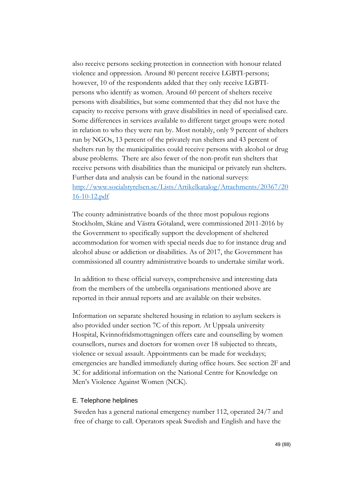also receive persons seeking protection in connection with honour related violence and oppression. Around 80 percent receive LGBTI-persons; however, 10 of the respondents added that they only receive LGBTIpersons who identify as women. Around 60 percent of shelters receive persons with disabilities, but some commented that they did not have the capacity to receive persons with grave disabilities in need of specialised care. Some differences in services available to different target groups were noted in relation to who they were run by. Most notably, only 9 percent of shelters run by NGOs, 13 percent of the privately run shelters and 43 percent of shelters run by the municipalities could receive persons with alcohol or drug abuse problems. There are also fewer of the non-profit run shelters that receive persons with disabilities than the municipal or privately run shelters. Further data and analysis can be found in the national surveys: [http://www.socialstyrelsen.se/Lists/Artikelkatalog/Attachments/20367/20](http://www.socialstyrelsen.se/Lists/Artikelkatalog/Attachments/20367/2016-10-12.pdf) [16-10-12.pdf](http://www.socialstyrelsen.se/Lists/Artikelkatalog/Attachments/20367/2016-10-12.pdf)

The county administrative boards of the three most populous regions Stockholm, Skåne and Västra Götaland, were commissioned 2011-2016 by the Government to specifically support the development of sheltered accommodation for women with special needs due to for instance drug and alcohol abuse or addiction or disabilities. As of 2017, the Government has commissioned all country administrative boards to undertake similar work.

In addition to these official surveys, comprehensive and interesting data from the members of the umbrella organisations mentioned above are reported in their annual reports and are available on their websites.

Information on separate sheltered housing in relation to asylum seekers is also provided under section 7C of this report. At Uppsala university Hospital, Kvinnofridsmottagningen offers care and counselling by women counsellors, nurses and doctors for women over 18 subjected to threats, violence or sexual assault. Appointments can be made for weekdays; emergencies are handled immediately during office hours. See section 2F and 3C for additional information on the National Centre for Knowledge on Men's Violence Against Women (NCK).

#### E. Telephone helplines

Sweden has a general national emergency number 112, operated 24/7 and free of charge to call. Operators speak Swedish and English and have the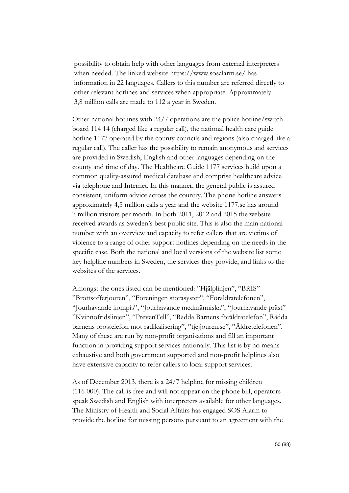possibility to obtain help with other languages from external interpreters when needed. The linked website<https://www.sosalarm.se/> has information in 22 languages. Callers to this number are referred directly to other relevant hotlines and services when appropriate. Approximately 3,8 million calls are made to 112 a year in Sweden.

Other national hotlines with 24/7 operations are the police hotline/switch board 114 14 (charged like a regular call), the national health care guide hotline 1177 operated by the county councils and regions (also charged like a regular call). The caller has the possibility to remain anonymous and services are provided in Swedish, English and other languages depending on the county and time of day. The Healthcare Guide 1177 services build upon a common quality-assured medical database and comprise healthcare advice via telephone and Internet. In this manner, the general public is assured consistent, uniform advice across the country. The phone hotline answers approximately 4,5 million calls a year and the website 1177.se has around 7 million visitors per month. In both 2011, 2012 and 2015 the website received awards as Sweden's best public site. This is also the main national number with an overview and capacity to refer callers that are victims of violence to a range of other support hotlines depending on the needs in the specific case. Both the national and local versions of the website list some key helpline numbers in Sweden, the services they provide, and links to the websites of the services.

Amongst the ones listed can be mentioned: "Hjälplinjen", "BRIS" "Brottsofferjouren", "Föreningen storasyster", "Föräldratelefonen", "Jourhavande kompis", "Jourhavande medmänniska", "Jourhavande präst" "Kvinnofridslinjen", "PrevenTell", "Rädda Barnens föräldratelefon", Rädda barnens orostelefon mot radikalisering", "tjejjouren.se", "Äldretelefonen". Many of these are run by non-profit organisations and fill an important function in providing support services nationally. This list is by no means exhaustive and both government supported and non-profit helplines also have extensive capacity to refer callers to local support services.

As of December 2013, there is a 24/7 helpline for missing children (116 000). The call is free and will not appear on the phone bill, operators speak Swedish and English with interpreters available for other languages. The Ministry of Health and Social Affairs has engaged SOS Alarm to provide the hotline for missing persons pursuant to an agreement with the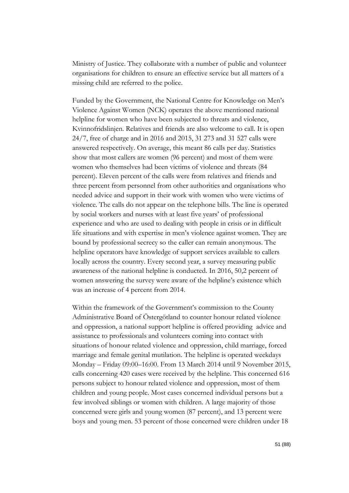Ministry of Justice. They collaborate with a number of public and volunteer organisations for children to ensure an effective service but all matters of a missing child are referred to the police.

Funded by the Government, the National Centre for Knowledge on Men's Violence Against Women (NCK) operates the above mentioned national helpline for women who have been subjected to threats and violence, Kvinnofridslinjen. Relatives and friends are also welcome to call. It is open 24/7, free of charge and in 2016 and 2015, 31 273 and 31 527 calls were answered respectively. On average, this meant 86 calls per day. Statistics show that most callers are women (96 percent) and most of them were women who themselves had been victims of violence and threats (84 percent). Eleven percent of the calls were from relatives and friends and three percent from personnel from other authorities and organisations who needed advice and support in their work with women who were victims of violence. The calls do not appear on the telephone bills. The line is operated by social workers and nurses with at least five years' of professional experience and who are used to dealing with people in crisis or in difficult life situations and with expertise in men's violence against women. They are bound by professional secrecy so the caller can remain anonymous. The helpline operators have knowledge of support services available to callers locally across the country. Every second year, a survey measuring public awareness of the national helpline is conducted. In 2016, 50,2 percent of women answering the survey were aware of the helpline's existence which was an increase of 4 percent from 2014.

Within the framework of the Government's commission to the County Administrative Board of Östergötland to counter honour related violence and oppression, a national support helpline is offered providing advice and assistance to professionals and volunteers coming into contact with situations of honour related violence and oppression, child marriage, forced marriage and female genital mutilation. The helpline is operated weekdays Monday – Friday 09:00–16:00. From 13 March 2014 until 9 November 2015, calls concerning 420 cases were received by the helpline. This concerned 616 persons subject to honour related violence and oppression, most of them children and young people. Most cases concerned individual persons but a few involved siblings or women with children. A large majority of those concerned were girls and young women (87 percent), and 13 percent were boys and young men. 53 percent of those concerned were children under 18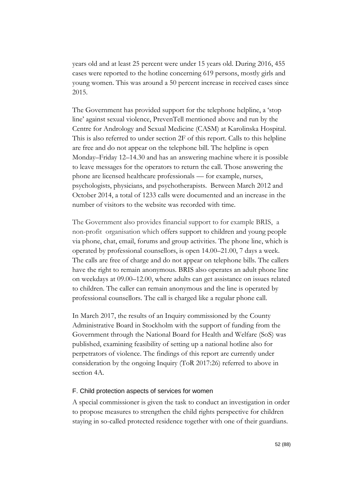years old and at least 25 percent were under 15 years old. During 2016, 455 cases were reported to the hotline concerning 619 persons, mostly girls and young women. This was around a 50 percent increase in received cases since 2015.

The Government has provided support for the telephone helpline, a 'stop line' against sexual violence, PrevenTell mentioned above and run by the Centre for Andrology and Sexual Medicine (CASM) at Karolinska Hospital. This is also referred to under section 2F of this report. Calls to this helpline are free and do not appear on the telephone bill. The helpline is open Monday–Friday 12–14.30 and has an answering machine where it is possible to leave messages for the operators to return the call. Those answering the phone are licensed healthcare professionals — for example, nurses, psychologists, physicians, and psychotherapists. Between March 2012 and October 2014, a total of 1233 calls were documented and an increase in the number of visitors to the website was recorded with time.

The Government also provides financial support to for example BRIS, a non-profit organisation which offers support to children and young people via phone, chat, email, forums and group activities. The phone line, which is operated by professional counsellors, is open 14.00–21.00, 7 days a week. The calls are free of charge and do not appear on telephone bills. The callers have the right to remain anonymous. BRIS also operates an adult phone line on weekdays at 09.00–12.00, where adults can get assistance on issues related to children. The caller can remain anonymous and the line is operated by professional counsellors. The call is charged like a regular phone call.

In March 2017, the results of an Inquiry commissioned by the County Administrative Board in Stockholm with the support of funding from the Government through the National Board for Health and Welfare (SoS) was published, examining feasibility of setting up a national hotline also for perpetrators of violence. The findings of this report are currently under consideration by the ongoing Inquiry (ToR 2017:26) referred to above in section 4A.

### F. Child protection aspects of services for women

A special commissioner is given the task to conduct an investigation in order to propose measures to strengthen the child rights perspective for children staying in so-called protected residence together with one of their guardians.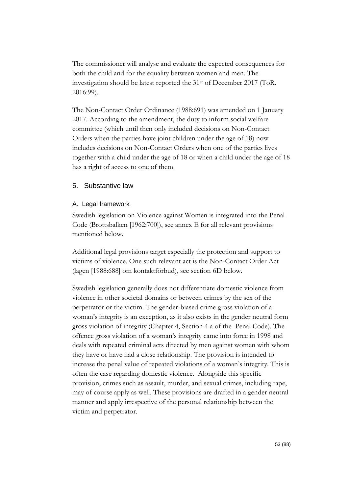The commissioner will analyse and evaluate the expected consequences for both the child and for the equality between women and men. The investigation should be latest reported the 31st of December 2017 (ToR. 2016:99).

The Non-Contact Order Ordinance (1988:691) was amended on 1 January 2017. According to the amendment, the duty to inform social welfare committee (which until then only included decisions on Non-Contact Orders when the parties have joint children under the age of 18) now includes decisions on Non-Contact Orders when one of the parties lives together with a child under the age of 18 or when a child under the age of 18 has a right of access to one of them.

# 5. Substantive law

# A. Legal framework

Swedish legislation on Violence against Women is integrated into the Penal Code (Brottsbalken [1962:700]), see annex E for all relevant provisions mentioned below.

Additional legal provisions target especially the protection and support to victims of violence. One such relevant act is the Non-Contact Order Act (lagen [1988:688] om kontaktförbud), see section 6D below.

Swedish legislation generally does not differentiate domestic violence from violence in other societal domains or between crimes by the sex of the perpetrator or the victim. The gender-biased crime gross violation of a woman's integrity is an exception, as it also exists in the gender neutral form gross violation of integrity (Chapter 4, Section 4 a of the Penal Code). The offence gross violation of a woman's integrity came into force in 1998 and deals with repeated criminal acts directed by men against women with whom they have or have had a close relationship. The provision is intended to increase the penal value of repeated violations of a woman's integrity. This is often the case regarding domestic violence. Alongside this specific provision, crimes such as assault, murder, and sexual crimes, including rape, may of course apply as well. These provisions are drafted in a gender neutral manner and apply irrespective of the personal relationship between the victim and perpetrator.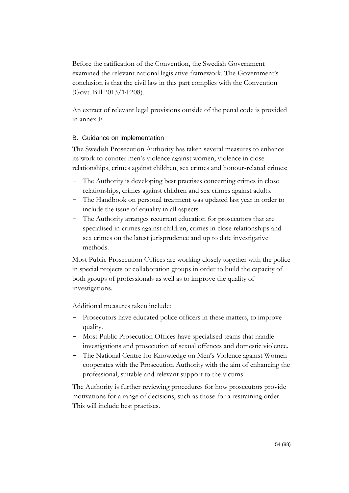Before the ratification of the Convention, the Swedish Government examined the relevant national legislative framework. The Government's conclusion is that the civil law in this part complies with the Convention (Govt. Bill 2013/14:208).

An extract of relevant legal provisions outside of the penal code is provided in annex F.

# B. Guidance on implementation

The Swedish Prosecution Authority has taken several measures to enhance its work to counter men's violence against women, violence in close relationships, crimes against children, sex crimes and honour-related crimes:

- The Authority is developing best practises concerning crimes in close relationships, crimes against children and sex crimes against adults.
- The Handbook on personal treatment was updated last year in order to include the issue of equality in all aspects.
- The Authority arranges recurrent education for prosecutors that are specialised in crimes against children, crimes in close relationships and sex crimes on the latest jurisprudence and up to date investigative methods.

Most Public Prosecution Offices are working closely together with the police in special projects or collaboration groups in order to build the capacity of both groups of professionals as well as to improve the quality of investigations.

Additional measures taken include:

- Prosecutors have educated police officers in these matters, to improve quality.
- Most Public Prosecution Offices have specialised teams that handle investigations and prosecution of sexual offences and domestic violence.
- The National Centre for Knowledge on Men's Violence against Women cooperates with the Prosecution Authority with the aim of enhancing the professional, suitable and relevant support to the victims.

The Authority is further reviewing procedures for how prosecutors provide motivations for a range of decisions, such as those for a restraining order. This will include best practises.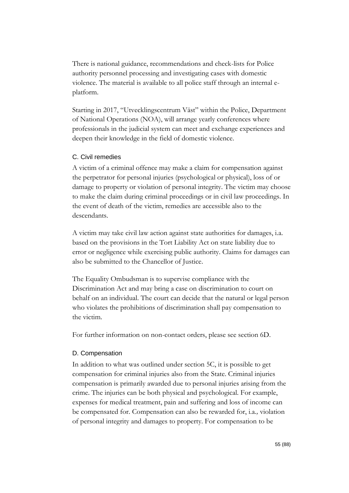There is national guidance, recommendations and check-lists for Police authority personnel processing and investigating cases with domestic violence. The material is available to all police staff through an internal eplatform.

Starting in 2017, "Utvecklingscentrum Väst" within the Police, Department of National Operations (NOA), will arrange yearly conferences where professionals in the judicial system can meet and exchange experiences and deepen their knowledge in the field of domestic violence.

### C. Civil remedies

A victim of a criminal offence may make a claim for compensation against the perpetrator for personal injuries (psychological or physical), loss of or damage to property or violation of personal integrity. The victim may choose to make the claim during criminal proceedings or in civil law proceedings. In the event of death of the victim, remedies are accessible also to the descendants.

A victim may take civil law action against state authorities for damages, i.a. based on the provisions in the Tort Liability Act on state liability due to error or negligence while exercising public authority. Claims for damages can also be submitted to the Chancellor of Justice.

The Equality Ombudsman is to supervise compliance with the Discrimination Act and may bring a case on discrimination to court on behalf on an individual. The court can decide that the natural or legal person who violates the prohibitions of discrimination shall pay compensation to the victim.

For further information on non-contact orders, please see section 6D.

# D. Compensation

In addition to what was outlined under section 5C, it is possible to get compensation for criminal injuries also from the State. Criminal injuries compensation is primarily awarded due to personal injuries arising from the crime. The injuries can be both physical and psychological. For example, expenses for medical treatment, pain and suffering and loss of income can be compensated for. Compensation can also be rewarded for, i.a.*,* violation of personal integrity and damages to property. For compensation to be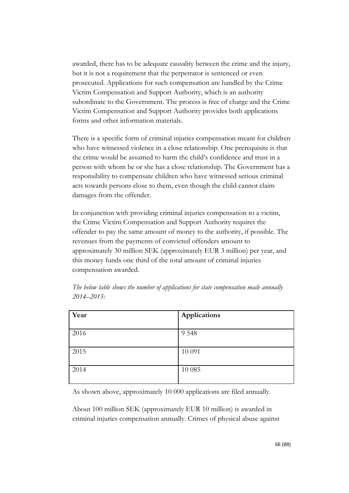awarded, there has to be adequate causality between the crime and the injury, but it is not a requirement that the perpetrator is sentenced or even prosecuted. Applications for such compensation are handled by the Crime Victim Compensation and Support Authority, which is an authority subordinate to the Government. The process is free of charge and the Crime Victim Compensation and Support Authority provides both applications forms and other information materials.

There is a specific form of criminal injuries compensation meant for children who have witnessed violence in a close relationship. One prerequisite is that the crime would be assumed to harm the child's confidence and trust in a person with whom he or she has a close relationship. The Government has a responsibility to compensate children who have witnessed serious criminal acts towards persons close to them, even though the child cannot claim damages from the offender.

In conjunction with providing criminal injuries compensation to a victim, the Crime Victim Compensation and Support Authority requires the offender to pay the same amount of money to the authority, if possible. The revenues from the payments of convicted offenders amount to approximately 30 million SEK (approximately EUR 3 million) per year, and this money funds one third of the total amount of criminal injuries compensation awarded.

| Applications     |
|------------------|
|                  |
|                  |
|                  |
| 10 091<br>10 085 |

*The below table shows the number of applications for state compensation made annually 2014–2015:*

As shown above, approximately 10 000 applications are filed annually.

About 100 million SEK (approximately EUR 10 million) is awarded in criminal injuries compensation annually. Crimes of physical abuse against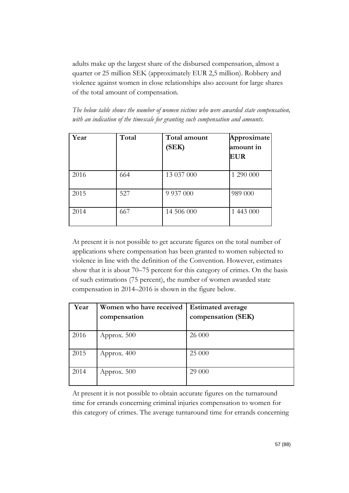adults make up the largest share of the disbursed compensation, almost a quarter or 25 million SEK (approximately EUR 2,5 million). Robbery and violence against women in close relationships also account for large shares of the total amount of compensation.

*The below table shows the number of women victims who were awarded state compensation, with an indication of the timescale for granting such compensation and amounts.*

| Year | Total | Total amount<br>(SEK) | Approximate<br>amount in<br><b>EUR</b> |
|------|-------|-----------------------|----------------------------------------|
| 2016 | 664   | 13 037 000            | 1 290 000                              |
| 2015 | 527   | 9 9 3 7 0 0 0         | 989 000                                |
| 2014 | 667   | 14 506 000            | 1 443 000                              |

At present it is not possible to get accurate figures on the total number of applications where compensation has been granted to women subjected to violence in line with the definition of the Convention. However, estimates show that it is about 70–75 percent for this category of crimes. On the basis of such estimations (75 percent), the number of women awarded state compensation in 2014–2016 is shown in the figure below.

| Year | Women who have received | <b>Estimated average</b> |
|------|-------------------------|--------------------------|
|      | compensation            | compensation (SEK)       |
|      |                         |                          |
| 2016 | Approx. 500             | 26 000                   |
| 2015 | Approx. 400             | 25 000                   |
| 2014 | Approx. 500             | 29 000                   |

At present it is not possible to obtain accurate figures on the turnaround time for errands concerning criminal injuries compensation to women for this category of crimes. The average turnaround time for errands concerning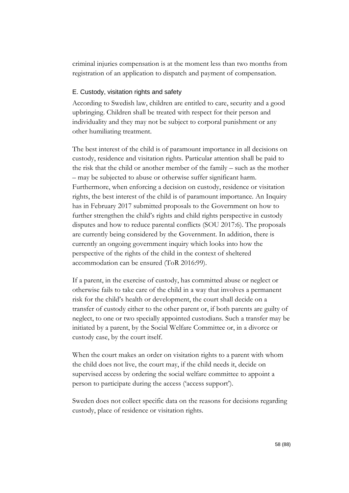criminal injuries compensation is at the moment less than two months from registration of an application to dispatch and payment of compensation.

## E. Custody, visitation rights and safety

According to Swedish law, children are entitled to care, security and a good upbringing. Children shall be treated with respect for their person and individuality and they may not be subject to corporal punishment or any other humiliating treatment.

The best interest of the child is of paramount importance in all decisions on custody, residence and visitation rights. Particular attention shall be paid to the risk that the child or another member of the family – such as the mother – may be subjected to abuse or otherwise suffer significant harm. Furthermore, when enforcing a decision on custody, residence or visitation rights, the best interest of the child is of paramount importance. An Inquiry has in February 2017 submitted proposals to the Government on how to further strengthen the child's rights and child rights perspective in custody disputes and how to reduce parental conflicts (SOU 2017:6). The proposals are currently being considered by the Government. In addition, there is currently an ongoing government inquiry which looks into how the perspective of the rights of the child in the context of sheltered accommodation can be ensured (ToR 2016:99).

If a parent, in the exercise of custody, has committed abuse or neglect or otherwise fails to take care of the child in a way that involves a permanent risk for the child's health or development, the court shall decide on a transfer of custody either to the other parent or, if both parents are guilty of neglect, to one or two specially appointed custodians. Such a transfer may be initiated by a parent, by the Social Welfare Committee or, in a divorce or custody case, by the court itself.

When the court makes an order on visitation rights to a parent with whom the child does not live, the court may, if the child needs it, decide on supervised access by ordering the social welfare committee to appoint a person to participate during the access ('access support').

Sweden does not collect specific data on the reasons for decisions regarding custody, place of residence or visitation rights.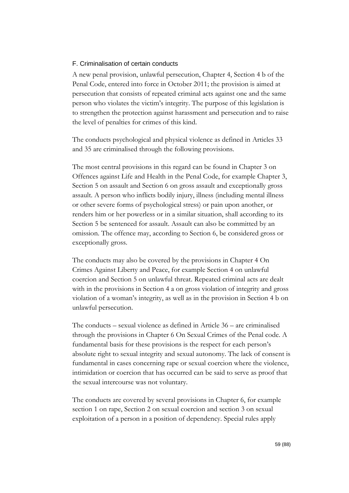### F. Criminalisation of certain conducts

A new penal provision, unlawful persecution, Chapter 4, Section 4 b of the Penal Code, entered into force in October 2011; the provision is aimed at persecution that consists of repeated criminal acts against one and the same person who violates the victim's integrity. The purpose of this legislation is to strengthen the protection against harassment and persecution and to raise the level of penalties for crimes of this kind.

The conducts psychological and physical violence as defined in Articles 33 and 35 are criminalised through the following provisions.

The most central provisions in this regard can be found in Chapter 3 on Offences against Life and Health in the Penal Code, for example Chapter 3, Section 5 on assault and Section 6 on gross assault and exceptionally gross assault. A person who inflicts bodily injury, illness (including mental illness or other severe forms of psychological stress) or pain upon another, or renders him or her powerless or in a similar situation, shall according to its Section 5 be sentenced for assault. Assault can also be committed by an omission. The offence may, according to Section 6, be considered gross or exceptionally gross.

The conducts may also be covered by the provisions in Chapter 4 On Crimes Against Liberty and Peace, for example Section 4 on unlawful coercion and Section 5 on unlawful threat. Repeated criminal acts are dealt with in the provisions in Section 4 a on gross violation of integrity and gross violation of a woman's integrity, as well as in the provision in Section 4 b on unlawful persecution.

The conducts – sexual violence as defined in Article 36 – are criminalised through the provisions in Chapter 6 On Sexual Crimes of the Penal code. A fundamental basis for these provisions is the respect for each person's absolute right to sexual integrity and sexual autonomy. The lack of consent is fundamental in cases concerning rape or sexual coercion where the violence, intimidation or coercion that has occurred can be said to serve as proof that the sexual intercourse was not voluntary.

The conducts are covered by several provisions in Chapter 6, for example section 1 on rape, Section 2 on sexual coercion and section 3 on sexual exploitation of a person in a position of dependency. Special rules apply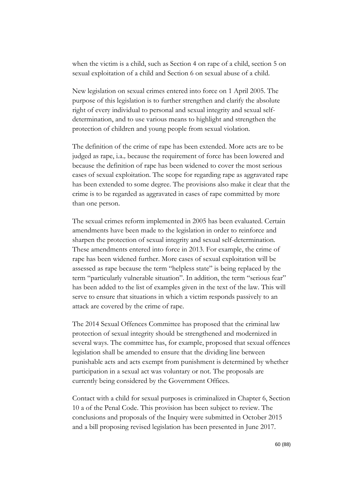when the victim is a child, such as Section 4 on rape of a child, section 5 on sexual exploitation of a child and Section 6 on sexual abuse of a child.

New legislation on sexual crimes entered into force on 1 April 2005. The purpose of this legislation is to further strengthen and clarify the absolute right of every individual to personal and sexual integrity and sexual selfdetermination, and to use various means to highlight and strengthen the protection of children and young people from sexual violation.

The definition of the crime of rape has been extended. More acts are to be judged as rape, i.a.*,* because the requirement of force has been lowered and because the definition of rape has been widened to cover the most serious cases of sexual exploitation. The scope for regarding rape as aggravated rape has been extended to some degree. The provisions also make it clear that the crime is to be regarded as aggravated in cases of rape committed by more than one person.

The sexual crimes reform implemented in 2005 has been evaluated. Certain amendments have been made to the legislation in order to reinforce and sharpen the protection of sexual integrity and sexual self-determination. These amendments entered into force in 2013. For example, the crime of rape has been widened further. More cases of sexual exploitation will be assessed as rape because the term "helpless state" is being replaced by the term "particularly vulnerable situation". In addition, the term "serious fear" has been added to the list of examples given in the text of the law. This will serve to ensure that situations in which a victim responds passively to an attack are covered by the crime of rape.

The 2014 Sexual Offences Committee has proposed that the criminal law protection of sexual integrity should be strengthened and modernized in several ways. The committee has, for example, proposed that sexual offences legislation shall be amended to ensure that the dividing line between punishable acts and acts exempt from punishment is determined by whether participation in a sexual act was voluntary or not. The proposals are currently being considered by the Government Offices.

Contact with a child for sexual purposes is criminalized in Chapter 6, Section 10 a of the Penal Code. This provision has been subject to review. The conclusions and proposals of the Inquiry were submitted in October 2015 and a bill proposing revised legislation has been presented in June 2017.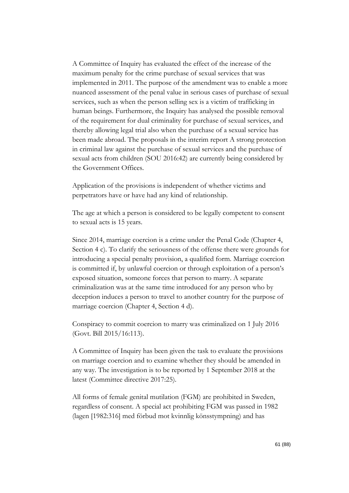A Committee of Inquiry has evaluated the effect of the increase of the maximum penalty for the crime purchase of sexual services that was implemented in 2011. The purpose of the amendment was to enable a more nuanced assessment of the penal value in serious cases of purchase of sexual services, such as when the person selling sex is a victim of trafficking in human beings. Furthermore, the Inquiry has analysed the possible removal of the requirement for dual criminality for purchase of sexual services, and thereby allowing legal trial also when the purchase of a sexual service has been made abroad. The proposals in the interim report A strong protection in criminal law against the purchase of sexual services and the purchase of sexual acts from children (SOU 2016:42) are currently being considered by the Government Offices.

Application of the provisions is independent of whether victims and perpetrators have or have had any kind of relationship.

The age at which a person is considered to be legally competent to consent to sexual acts is 15 years.

Since 2014, marriage coercion is a crime under the Penal Code (Chapter 4, Section 4 c). To clarify the seriousness of the offense there were grounds for introducing a special penalty provision, a qualified form. Marriage coercion is committed if, by unlawful coercion or through exploitation of a person's exposed situation, someone forces that person to marry. A separate criminalization was at the same time introduced for any person who by deception induces a person to travel to another country for the purpose of marriage coercion (Chapter 4, Section 4 d).

Conspiracy to commit coercion to marry was criminalized on 1 July 2016 (Govt. Bill 2015/16:113).

A Committee of Inquiry has been given the task to evaluate the provisions on marriage coercion and to examine whether they should be amended in any way. The investigation is to be reported by 1 September 2018 at the latest (Committee directive 2017:25).

All forms of female genital mutilation (FGM) are prohibited in Sweden, regardless of consent. A special act prohibiting FGM was passed in 1982 (lagen [1982:316] med förbud mot kvinnlig könsstympning) and has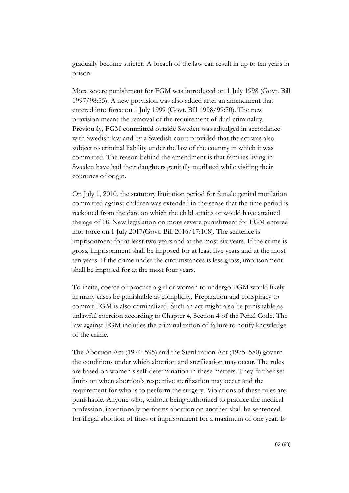gradually become stricter. A breach of the law can result in up to ten years in prison.

More severe punishment for FGM was introduced on 1 July 1998 (Govt. Bill 1997/98:55). A new provision was also added after an amendment that entered into force on 1 July 1999 (Govt. Bill 1998/99:70). The new provision meant the removal of the requirement of dual criminality. Previously, FGM committed outside Sweden was adjudged in accordance with Swedish law and by a Swedish court provided that the act was also subject to criminal liability under the law of the country in which it was committed. The reason behind the amendment is that families living in Sweden have had their daughters genitally mutilated while visiting their countries of origin.

On July 1, 2010, the statutory limitation period for female genital mutilation committed against children was extended in the sense that the time period is reckoned from the date on which the child attains or would have attained the age of 18. New legislation on more severe punishment for FGM entered into force on 1 July 2017(Govt. Bill 2016/17:108). The sentence is imprisonment for at least two years and at the most six years. If the crime is gross, imprisonment shall be imposed for at least five years and at the most ten years. If the crime under the circumstances is less gross, imprisonment shall be imposed for at the most four years.

To incite, coerce or procure a girl or woman to undergo FGM would likely in many cases be punishable as complicity. Preparation and conspiracy to commit FGM is also criminalized. Such an act might also be punishable as unlawful coercion according to Chapter 4, Section 4 of the Penal Code. The law against FGM includes the criminalization of failure to notify knowledge of the crime.

The Abortion Act (1974: 595) and the Sterilization Act (1975: 580) govern the conditions under which abortion and sterilization may occur. The rules are based on women's self-determination in these matters. They further set limits on when abortion's respective sterilization may occur and the requirement for who is to perform the surgery. Violations of these rules are punishable. Anyone who, without being authorized to practice the medical profession, intentionally performs abortion on another shall be sentenced for illegal abortion of fines or imprisonment for a maximum of one year. Is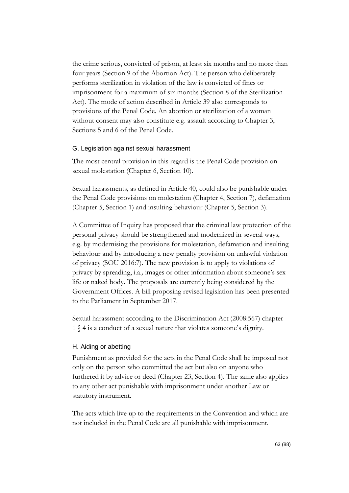the crime serious, convicted of prison, at least six months and no more than four years (Section 9 of the Abortion Act). The person who deliberately performs sterilization in violation of the law is convicted of fines or imprisonment for a maximum of six months (Section 8 of the Sterilization Act). The mode of action described in Article 39 also corresponds to provisions of the Penal Code. An abortion or sterilization of a woman without consent may also constitute e.g. assault according to Chapter 3, Sections 5 and 6 of the Penal Code.

#### G. Legislation against sexual harassment

The most central provision in this regard is the Penal Code provision on sexual molestation (Chapter 6, Section 10).

Sexual harassments, as defined in Article 40, could also be punishable under the Penal Code provisions on molestation (Chapter 4, Section 7), defamation (Chapter 5, Section 1) and insulting behaviour (Chapter 5, Section 3).

A Committee of Inquiry has proposed that the criminal law protection of the personal privacy should be strengthened and modernized in several ways, e.g. by modernising the provisions for molestation, defamation and insulting behaviour and by introducing a new penalty provision on unlawful violation of privacy (SOU 2016:7). The new provision is to apply to violations of privacy by spreading, i.a.*,* images or other information about someone's sex life or naked body. The proposals are currently being considered by the Government Offices. A bill proposing revised legislation has been presented to the Parliament in September 2017.

Sexual harassment according to the Discrimination Act (2008:567) chapter 1 § 4 is a conduct of a sexual nature that violates someone's dignity.

### H. Aiding or abetting

Punishment as provided for the acts in the Penal Code shall be imposed not only on the person who committed the act but also on anyone who furthered it by advice or deed (Chapter 23, Section 4). The same also applies to any other act punishable with imprisonment under another Law or statutory instrument.

The acts which live up to the requirements in the Convention and which are not included in the Penal Code are all punishable with imprisonment.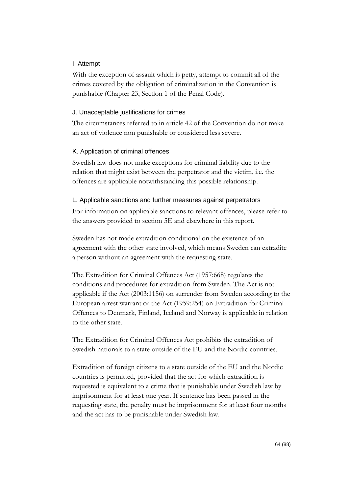## I. Attempt

With the exception of assault which is petty, attempt to commit all of the crimes covered by the obligation of criminalization in the Convention is punishable (Chapter 23, Section 1 of the Penal Code).

### J. Unacceptable justifications for crimes

The circumstances referred to in article 42 of the Convention do not make an act of violence non punishable or considered less severe.

### K. Application of criminal offences

Swedish law does not make exceptions for criminal liability due to the relation that might exist between the perpetrator and the victim, i.e. the offences are applicable notwithstanding this possible relationship.

### L. Applicable sanctions and further measures against perpetrators

For information on applicable sanctions to relevant offences, please refer to the answers provided to section 5E and elsewhere in this report.

Sweden has not made extradition conditional on the existence of an agreement with the other state involved, which means Sweden can extradite a person without an agreement with the requesting state.

The Extradition for Criminal Offences Act (1957:668) regulates the conditions and procedures for extradition from Sweden. The Act is not applicable if the Act (2003:1156) on surrender from Sweden according to the European arrest warrant or the Act (1959:254) on Extradition for Criminal Offences to Denmark, Finland, Iceland and Norway is applicable in relation to the other state.

The Extradition for Criminal Offences Act prohibits the extradition of Swedish nationals to a state outside of the EU and the Nordic countries.

Extradition of foreign citizens to a state outside of the EU and the Nordic countries is permitted, provided that the act for which extradition is requested is equivalent to a crime that is punishable under Swedish law by imprisonment for at least one year. If sentence has been passed in the requesting state, the penalty must be imprisonment for at least four months and the act has to be punishable under Swedish law.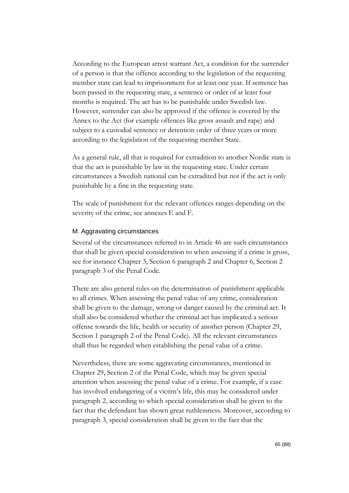According to the European arrest warrant Act, a condition for the surrender of a person is that the offence according to the legislation of the requesting member state can lead to imprisonment for at least one year. If sentence has been passed in the requesting state, a sentence or order of at least four months is required. The act has to be punishable under Swedish law. However, surrender can also be approved if the offence is covered by the Annex to the Act (for example offences like gross assault and rape) and subject to a custodial sentence or detention order of three years or more according to the legislation of the requesting member State.

As a general rule, all that is required for extradition to another Nordic state is that the act is punishable by law in the requesting state. Under certain circumstances a Swedish national can be extradited but not if the act is only punishable by a fine in the requesting state.

The scale of punishment for the relevant offences ranges depending on the severity of the crime, see annexes E and F.

### M. Aggravating circumstances

Several of the circumstances referred to in Article 46 are such circumstances that shall be given special consideration to when assessing if a crime is gross, see for instance Chapter 3, Section 6 paragraph 2 and Chapter 6, Section 2 paragraph 3 of the Penal Code.

There are also general rules on the determination of punishment applicable to all crimes. When assessing the penal value of any crime, consideration shall be given to the damage, wrong or danger caused by the criminal act. It shall also be considered whether the criminal act has implicated a serious offense towards the life, health or security of another person (Chapter 29, Section 1 paragraph 2 of the Penal Code). All the relevant circumstances shall thus be regarded when establishing the penal value of a crime.

Nevertheless, there are some aggravating circumstances, mentioned in Chapter 29, Section 2 of the Penal Code, which may be given special attention when assessing the penal value of a crime. For example, if a case has involved endangering of a victim's life, this may be considered under paragraph 2, according to which special consideration shall be given to the fact that the defendant has shown great ruthlessness. Moreover, according to paragraph 3, special consideration shall be given to the fact that the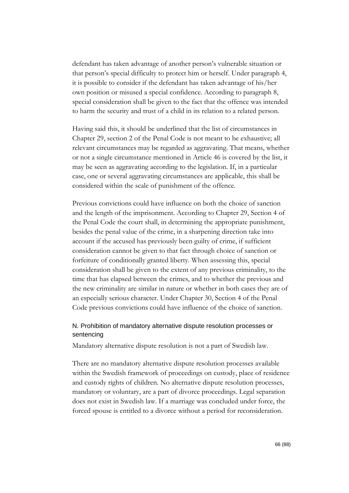defendant has taken advantage of another person's vulnerable situation or that person's special difficulty to protect him or herself. Under paragraph 4, it is possible to consider if the defendant has taken advantage of his/her own position or misused a special confidence. According to paragraph 8, special consideration shall be given to the fact that the offence was intended to harm the security and trust of a child in its relation to a related person.

Having said this, it should be underlined that the list of circumstances in Chapter 29, section 2 of the Penal Code is not meant to be exhaustive; all relevant circumstances may be regarded as aggravating. That means, whether or not a single circumstance mentioned in Article 46 is covered by the list, it may be seen as aggravating according to the legislation. If, in a particular case, one or several aggravating circumstances are applicable, this shall be considered within the scale of punishment of the offence.

Previous convictions could have influence on both the choice of sanction and the length of the imprisonment. According to Chapter 29, Section 4 of the Penal Code the court shall, in determining the appropriate punishment, besides the penal value of the crime, in a sharpening direction take into account if the accused has previously been guilty of crime, if sufficient consideration cannot be given to that fact through choice of sanction or forfeiture of conditionally granted liberty. When assessing this, special consideration shall be given to the extent of any previous criminality, to the time that has elapsed between the crimes, and to whether the previous and the new criminality are similar in nature or whether in both cases they are of an especially serious character. Under Chapter 30, Section 4 of the Penal Code previous convictions could have influence of the choice of sanction.

# N. Prohibition of mandatory alternative dispute resolution processes or sentencing

Mandatory alternative dispute resolution is not a part of Swedish law.

There are no mandatory alternative dispute resolution processes available within the Swedish framework of proceedings on custody, place of residence and custody rights of children. No alternative dispute resolution processes, mandatory or voluntary, are a part of divorce proceedings. Legal separation does not exist in Swedish law. If a marriage was concluded under force, the forced spouse is entitled to a divorce without a period for reconsideration.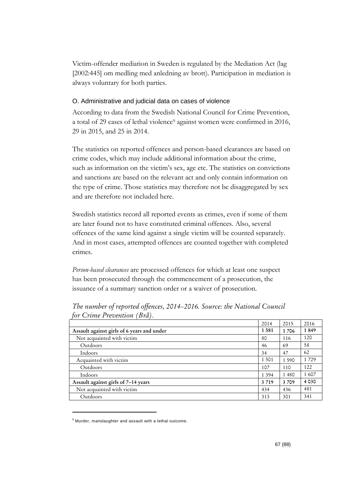Victim-offender mediation in Sweden is regulated by the Mediation Act (lag [2002:445] om medling med anledning av brott). Participation in mediation is always voluntary for both parties.

## O. Administrative and judicial data on cases of violence

According to data from the Swedish National Council for Crime Prevention, a total of 29 cases of lethal violence<sup>9</sup> against women were confirmed in 2016, 29 in 2015, and 25 in 2014.

The statistics on reported offences and person-based clearances are based on crime codes, which may include additional information about the crime, such as information on the victim's sex, age etc. The statistics on convictions and sanctions are based on the relevant act and only contain information on the type of crime. Those statistics may therefore not be disaggregated by sex and are therefore not included here.

Swedish statistics record all reported events as crimes, even if some of them are later found not to have constituted criminal offences. Also, several offences of the same kind against a single victim will be counted separately. And in most cases, attempted offences are counted together with completed crimes.

*Person-based clearances* are processed offences for which at least one suspect has been prosecuted through the commencement of a prosecution, the issuance of a summary sanction order or a waiver of prosecution.

|                                            | 2014    | 2015    | 2016    |
|--------------------------------------------|---------|---------|---------|
| Assault against girls of 6 years and under | 1581    | 1706    | 1849    |
| Not acquainted with victim                 | 80      | 116     | 120     |
| Outdoors                                   | 46      | 69      | 58      |
| Indoors                                    | 34      | 47      | 62      |
| Acquainted with victim                     | 1 5 0 1 | 1 5 9 0 | 1 7 2 9 |
| Outdoors                                   | 107     | 110     | 122     |
| Indoors                                    | 1 3 9 4 | 1480    | 1607    |
| Assault against girls of 7-14 years        | 3 7 1 9 | 3709    | 4 0 3 0 |
| Not acquainted with victim                 | 434     | 436     | 481     |
| Outdoors                                   | 313     | 301     | 341     |
|                                            |         |         |         |

*The number of reported offences, 2014–2016. Source: the National Council for Crime Prevention (Brå).*

-

<sup>9</sup> Murder, manslaughter and assault with a lethal outcome.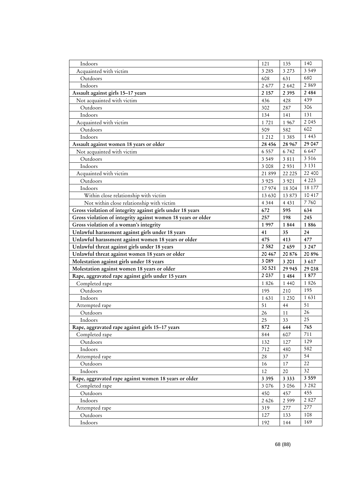| Indoors                                                      | 121      | 135     | 140     |
|--------------------------------------------------------------|----------|---------|---------|
| Acquainted with victim                                       | 3 2 8 5  | 3 2 7 3 | 3 5 4 9 |
| Outdoors                                                     | 608      | 631     | 680     |
| Indoors                                                      | 2 677    | 2 6 4 2 | 2869    |
| Assault against girls 15-17 years                            | 2 1 5 7  | 2 3 9 5 | 2484    |
| Not acquainted with victim                                   | 436      | 428     | 439     |
| Outdoors                                                     | 302      | 287     | 306     |
| Indoors                                                      | 134      | 141     | 131     |
| Acquainted with victim                                       | 1721     | 1967    | 2 0 4 5 |
| Outdoors                                                     | 509      | 582     | 602     |
| Indoors                                                      | 1 2 1 2  | 1 3 8 5 | 1 4 4 3 |
| Assault against women 18 years or older                      | 28 456   | 28 967  | 29 047  |
| Not acquainted with victim                                   | 6 5 5 7  | 6742    | 6 6 4 7 |
| Outdoors                                                     | 3 5 4 9  | 3 8 1 1 | 3 5 1 6 |
| Indoors                                                      | 3 0 0 8  | 2931    | 3 1 3 1 |
| Acquainted with victim                                       | 21 899   | 22 2 25 | 22 400  |
| Outdoors                                                     | 3 9 2 5  | 3 9 2 1 | 4 2 2 3 |
| Indoors                                                      | 17974    | 18 304  | 18 177  |
| Within close relationship with victim                        | 13 630   | 13 873  | 10 417  |
| Not within close relationship with victim                    | 4 3 4 4  | 4 4 3 1 | 7760    |
| Gross violation of integrity against girls under 18 years    | 672      | 595     | 634     |
| Gross violation of integrity against women 18 years or older | 257      | 198     | 245     |
| Gross violation of a woman's integrity                       | 1997     | 1844    | 1886    |
| Unlawful harassment against girls under 18 years             | 41       | 35      | 24      |
| Unlawful harassment against women 18 years or older          | 475      | 413     | 477     |
| Unlawful threat against girls under 18 years                 | 2 5 8 2  | 2659    | 3 2 4 7 |
| Unlawful threat against women 18 years or older              | 20 4 6 7 | 20876   | 20896   |
| Molestation against girls under 18 years                     | 3 0 8 9  | 3 2 0 1 | 3 6 1 7 |
| Molestation against women 18 years or older                  | 30 521   | 29 945  | 29 038  |
| Rape, aggravated rape against girls under 15 years           | 2 0 3 7  | 1484    | 1877    |
| Completed rape                                               | 1826     | 1 4 4 0 | 1826    |
| Outdoors                                                     | 195      | 210     | 195     |
| Indoors                                                      | 1631     | 1 2 3 0 | 1631    |
| Attempted rape                                               | 51       | 44      | 51      |
| Outdoors                                                     | 26       | 11      | 26      |
| Indoors                                                      | 25       | 33      | 25      |
| Rape, aggravated rape against girls 15-17 years              | 872      | 644     | 765     |
| Completed rape                                               | 844      | 607     | 711     |
| Outdoors                                                     | 132      | 127     | 129     |
| Indoors                                                      | 712      | 480     | 582     |
| Attempted rape                                               | 28       | 37      | 54      |
| Outdoors                                                     | 16       | 17      | 22      |
| Indoors                                                      | 12       | 20      | 32      |
| Rape, aggravated rape against women 18 years or older        | 3 3 9 5  | 3 3 3 3 | 3 5 5 9 |
| Completed rape                                               | 3 0 7 6  | 3 0 5 6 | 3 2 8 2 |
| Outdoors                                                     | 450      | 457     | 455     |
| Indoors                                                      | 2 6 2 6  | 2 5 9 9 | 2 8 2 7 |
| Attempted rape                                               | 319      | 277     | 277     |
| Outdoors                                                     | 127      | 133     | 108     |
| Indoors                                                      | 192      | 144     | 169     |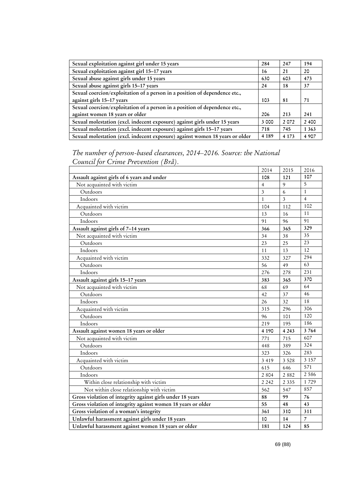| Sexual exploitation against girl under 15 years                              | 284     | 247     | 194     |
|------------------------------------------------------------------------------|---------|---------|---------|
| Sexual exploitation against girl 15-17 years                                 | 16      | 21      | 20      |
| Sexual abuse against girls under 15 years                                    | 630     | 603     | 473     |
| Sexual abuse against girls 15-17 years                                       | 24      | 18      | 37      |
| Sexual coercion/exploitation of a person in a position of dependence etc.,   |         |         |         |
| against girls 15-17 years                                                    | 103     | 81      | 71      |
| Sexual coercion/exploitation of a person in a position of dependence etc.,   |         |         |         |
| against women 18 years or older                                              | 206     | 213     | 241     |
| Sexual molestation (excl. indecent exposure) against girls under 15 years    | 3 000   | 2072    | 2400    |
| Sexual molestation (excl. indecent exposure) against girls 15-17 years       | 718     | 745     | 1 3 6 3 |
| Sexual molestation (excl. indecent exposure) against women 18 years or older | 4 1 8 9 | 4 1 7 3 | 4 9 0 7 |

*The number of person-based clearances, 2014–2016. Source: the National Council for Crime Prevention (Brå).*

|                                                              | 2014         | 2015                    | 2016           |
|--------------------------------------------------------------|--------------|-------------------------|----------------|
| Assault against girls of 6 years and under                   | 108          | 121                     | 107            |
| Not acquainted with victim                                   | 4            | $\mathbf{Q}$            | 5              |
| Outdoors                                                     | 3            | 6                       | $\mathbf{1}$   |
| Indoors                                                      | $\mathbf{1}$ | $\overline{\mathbf{3}}$ | $\overline{4}$ |
| Acquainted with victim                                       | 104          | 112                     | 102            |
| Outdoors                                                     | 13           | 16                      | 11             |
| Indoors                                                      | 91           | 96                      | 91             |
| Assault against girls of 7-14 years                          | 366          | 365                     | 329            |
| Not acquainted with victim                                   | 34           | 38                      | 35             |
| Outdoors                                                     | 23           | 25                      | 23             |
| Indoors                                                      | 11           | 13                      | 12             |
| Acquainted with victim                                       | 332          | 327                     | 294            |
| Outdoors                                                     | 56           | 49                      | 63             |
| Indoors                                                      | 276          | 278                     | 231            |
| Assault against girls 15-17 years                            | 383          | 365                     | 370            |
| Not acquainted with victim                                   | 68           | 69                      | 64             |
| Outdoors                                                     | 42           | 37                      | 46             |
| Indoors                                                      | 26           | 32                      | 18             |
| Acquainted with victim                                       | 315          | 296                     | 306            |
| Outdoors                                                     | 96           | 101                     | 120            |
| Indoors                                                      | 219          | 195                     | 186            |
| Assault against women 18 years or older                      | 4 1 9 0      | 4 2 4 3                 | 3764           |
| Not acquainted with victim                                   | 771          | 715                     | 607            |
| Outdoors                                                     | 448          | 389                     | 324            |
| Indoors                                                      | 323          | 326                     | 283            |
| Acquainted with victim                                       | 3 4 1 9      | 3 5 2 8                 | 3 1 5 7        |
| Outdoors                                                     | 615          | 646                     | 571            |
| Indoors                                                      | 2 8 0 4      | 2882                    | 2 5 8 6        |
| Within close relationship with victim                        | 2 2 4 2      | 2 3 3 5                 | 1729           |
| Not within close relationship with victim                    | 562          | 547                     | 857            |
| Gross violation of integrity against girls under 18 years    | 88           | 99                      | 76             |
| Gross violation of integrity against women 18 years or older | 55           | 48                      | 43             |
| Gross violation of a woman's integrity                       | 361          | 310                     | 311            |
| Unlawful harassment against girls under 18 years             | 10           | 14                      | 7              |
| Unlawful harassment against women 18 years or older          | 181          | 124                     | 85             |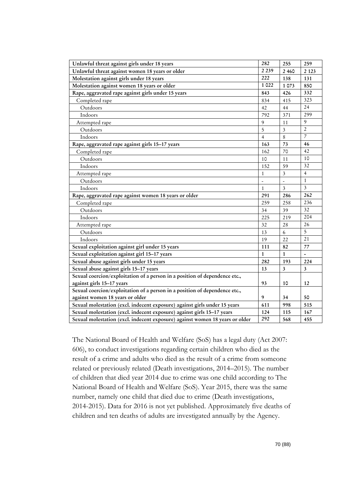| Unlawful threat against girls under 18 years                                 | 282            | 255            | 259                     |
|------------------------------------------------------------------------------|----------------|----------------|-------------------------|
| Unlawful threat against women 18 years or older                              | 2 2 3 9        | 2460           | 2 1 2 3                 |
| Molestation against girls under 18 years                                     | 222            | 138            | 131                     |
| Molestation against women 18 years or older                                  | 1 0 2 2        | 1073           | 850                     |
| Rape, aggravated rape against girls under 15 years                           | 843            | 426            | 332                     |
| Completed rape                                                               | 834            | 415            | 323                     |
| Outdoors                                                                     | 42             | 44             | 24                      |
| Indoors                                                                      | 792            | 371            | 299                     |
| Attempted rape                                                               | 9              | 11             | 9                       |
| Outdoors                                                                     | 5              | $\overline{3}$ | $\overline{2}$          |
| Indoors                                                                      | $\overline{4}$ | 8              | $\overline{7}$          |
| Rape, aggravated rape against girls 15-17 years                              | 163            | 73             | 46                      |
| Completed rape                                                               | 162            | 70             | 42                      |
| Outdoors                                                                     | 10             | 11             | 10                      |
| Indoors                                                                      | 152            | 59             | 32                      |
| Attempted rape                                                               | $\mathbf{1}$   | 3              | $\overline{4}$          |
| Outdoors                                                                     |                |                | $\mathbf{1}$            |
| Indoors                                                                      | $\mathbf{1}$   | 3              | 3                       |
| Rape, aggravated rape against women 18 years or older                        | 291            | 286            | 262                     |
| Completed rape                                                               | 259            | 258            | 236                     |
| Outdoors                                                                     | 34             | 39             | 32                      |
| Indoors                                                                      | 225            | 219            | 204                     |
| Attempted rape                                                               | 32             | 28             | 26                      |
| Outdoors                                                                     | 13             | 6              | 5                       |
| Indoors                                                                      | 19             | 22             | 21                      |
| Sexual exploitation against girl under 15 years                              | 111            | 82             | 77                      |
| Sexual exploitation against girl 15-17 years                                 | 1              | $\mathbf{1}$   |                         |
| Sexual abuse against girls under 15 years                                    | 282            | 193            | 224                     |
| Sexual abuse against girls 15-17 years                                       | 13             | 3              | $\overline{\mathbf{3}}$ |
| Sexual coercion/exploitation of a person in a position of dependence etc.,   |                |                |                         |
| against girls 15-17 years                                                    | 93             | 10             | 12                      |
| Sexual coercion/exploitation of a person in a position of dependence etc.,   |                |                |                         |
| against women 18 years or older                                              | 9              | 34             | 50                      |
| Sexual molestation (excl. indecent exposure) against girls under 15 years    | 611            | 998            | 515                     |
| Sexual molestation (excl. indecent exposure) against girls 15-17 years       | 124            | 115            | 167                     |
| Sexual molestation (excl. indecent exposure) against women 18 years or older | 292            | 568            | 455                     |

The National Board of Health and Welfare (SoS) has a legal duty (Act 2007: 606), to conduct investigations regarding certain children who died as the result of a crime and adults who died as the result of a crime from someone related or previously related (Death investigations, 2014–2015). The number of children that died year 2014 due to crime was one child according to The National Board of Health and Welfare (SoS). Year 2015, there was the same number, namely one child that died due to crime (Death investigations, 2014-2015). Data for 2016 is not yet published. Approximately five deaths of children and ten deaths of adults are investigated annually by the Agency.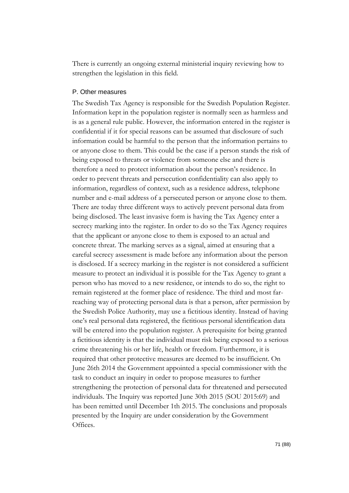There is currently an ongoing external ministerial inquiry reviewing how to strengthen the legislation in this field.

#### P. Other measures

The Swedish Tax Agency is responsible for the Swedish Population Register. Information kept in the population register is normally seen as harmless and is as a general rule public. However, the information entered in the register is confidential if it for special reasons can be assumed that disclosure of such information could be harmful to the person that the information pertains to or anyone close to them. This could be the case if a person stands the risk of being exposed to threats or violence from someone else and there is therefore a need to protect information about the person's residence. In order to prevent threats and persecution confidentiality can also apply to information, regardless of context, such as a residence address, telephone number and e-mail address of a persecuted person or anyone close to them. There are today three different ways to actively prevent personal data from being disclosed. The least invasive form is having the Tax Agency enter a secrecy marking into the register. In order to do so the Tax Agency requires that the applicant or anyone close to them is exposed to an actual and concrete threat. The marking serves as a signal, aimed at ensuring that a careful secrecy assessment is made before any information about the person is disclosed. If a secrecy marking in the register is not considered a sufficient measure to protect an individual it is possible for the Tax Agency to grant a person who has moved to a new residence, or intends to do so, the right to remain registered at the former place of residence. The third and most farreaching way of protecting personal data is that a person, after permission by the Swedish Police Authority, may use a fictitious identity. Instead of having one's real personal data registered, the fictitious personal identification data will be entered into the population register. A prerequisite for being granted a fictitious identity is that the individual must risk being exposed to a serious crime threatening his or her life, health or freedom. Furthermore, it is required that other protective measures are deemed to be insufficient. On June 26th 2014 the Government appointed a special commissioner with the task to conduct an inquiry in order to propose measures to further strengthening the protection of personal data for threatened and persecuted individuals. The Inquiry was reported June 30th 2015 (SOU 2015:69) and has been remitted until December 1th 2015. The conclusions and proposals presented by the Inquiry are under consideration by the Government Offices.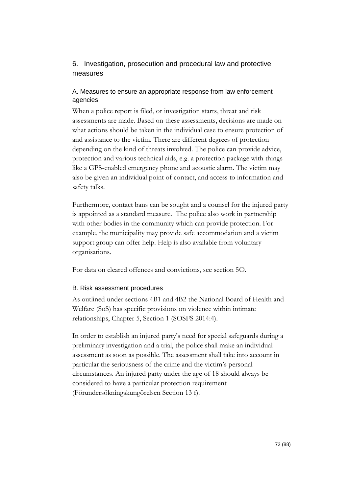# 6. Investigation, prosecution and procedural law and protective measures

# A. Measures to ensure an appropriate response from law enforcement agencies

When a police report is filed, or investigation starts, threat and risk assessments are made. Based on these assessments, decisions are made on what actions should be taken in the individual case to ensure protection of and assistance to the victim. There are different degrees of protection depending on the kind of threats involved. The police can provide advice, protection and various technical aids, e.g. a protection package with things like a GPS-enabled emergency phone and acoustic alarm. The victim may also be given an individual point of contact, and access to information and safety talks.

Furthermore, contact bans can be sought and a counsel for the injured party is appointed as a standard measure. The police also work in partnership with other bodies in the community which can provide protection. For example, the municipality may provide safe accommodation and a victim support group can offer help. Help is also available from voluntary organisations.

For data on cleared offences and convictions, see section 5O.

## B. Risk assessment procedures

As outlined under sections 4B1 and 4B2 the National Board of Health and Welfare (SoS) has specific provisions on violence within intimate relationships, Chapter 5, Section 1 (SOSFS 2014:4).

In order to establish an injured party's need for special safeguards during a preliminary investigation and a trial, the police shall make an individual assessment as soon as possible. The assessment shall take into account in particular the seriousness of the crime and the victim's personal circumstances. An injured party under the age of 18 should always be considered to have a particular protection requirement (Förundersökningskungörelsen Section 13 f).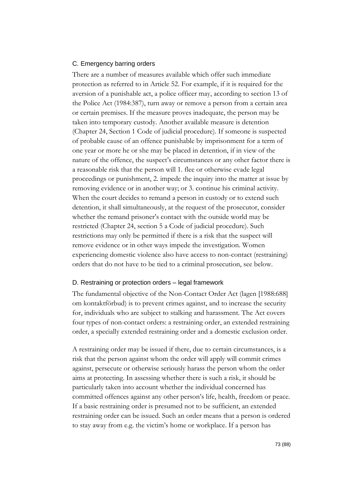#### C. Emergency barring orders

There are a number of measures available which offer such immediate protection as referred to in Article 52. For example, if it is required for the aversion of a punishable act, a police officer may, according to section 13 of the Police Act (1984:387), turn away or remove a person from a certain area or certain premises. If the measure proves inadequate, the person may be taken into temporary custody. Another available measure is detention (Chapter 24, Section 1 Code of judicial procedure). If someone is suspected of probable cause of an offence punishable by imprisonment for a term of one year or more he or she may be placed in detention, if in view of the nature of the offence, the suspect's circumstances or any other factor there is a reasonable risk that the person will 1. flee or otherwise evade legal proceedings or punishment, 2. impede the inquiry into the matter at issue by removing evidence or in another way; or 3. continue his criminal activity. When the court decides to remand a person in custody or to extend such detention, it shall simultaneously, at the request of the prosecutor, consider whether the remand prisoner's contact with the outside world may be restricted (Chapter 24, section 5 a Code of judicial procedure). Such restrictions may only be permitted if there is a risk that the suspect will remove evidence or in other ways impede the investigation. Women experiencing domestic violence also have access to non-contact (restraining) orders that do not have to be tied to a criminal prosecution, see below.

#### D. Restraining or protection orders – legal framework

The fundamental objective of the Non-Contact Order Act (lagen [1988:688] om kontaktförbud) is to prevent crimes against, and to increase the security for, individuals who are subject to stalking and harassment. The Act covers four types of non-contact orders: a restraining order, an extended restraining order, a specially extended restraining order and a domestic exclusion order.

A restraining order may be issued if there, due to certain circumstances, is a risk that the person against whom the order will apply will commit crimes against, persecute or otherwise seriously harass the person whom the order aims at protecting. In assessing whether there is such a risk, it should be particularly taken into account whether the individual concerned has committed offences against any other person's life, health, freedom or peace. If a basic restraining order is presumed not to be sufficient, an extended restraining order can be issued. Such an order means that a person is ordered to stay away from e.g. the victim's home or workplace. If a person has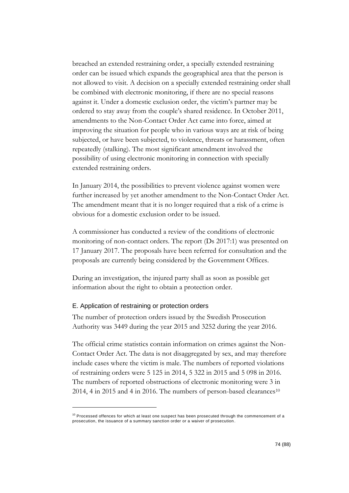breached an extended restraining order, a specially extended restraining order can be issued which expands the geographical area that the person is not allowed to visit. A decision on a specially extended restraining order shall be combined with electronic monitoring, if there are no special reasons against it. Under a domestic exclusion order, the victim's partner may be ordered to stay away from the couple's shared residence. In October 2011, amendments to the Non-Contact Order Act came into force, aimed at improving the situation for people who in various ways are at risk of being subjected, or have been subjected, to violence, threats or harassment, often repeatedly (stalking). The most significant amendment involved the possibility of using electronic monitoring in connection with specially extended restraining orders.

In January 2014, the possibilities to prevent violence against women were further increased by yet another amendment to the Non-Contact Order Act. The amendment meant that it is no longer required that a risk of a crime is obvious for a domestic exclusion order to be issued.

A commissioner has conducted a review of the conditions of electronic monitoring of non-contact orders. The report (Ds 2017:1) was presented on 17 January 2017. The proposals have been referred for consultation and the proposals are currently being considered by the Government Offices.

During an investigation, the injured party shall as soon as possible get information about the right to obtain a protection order.

#### E. Application of restraining or protection orders

-

The number of protection orders issued by the Swedish Prosecution Authority was 3449 during the year 2015 and 3252 during the year 2016.

The official crime statistics contain information on crimes against the Non-Contact Order Act. The data is not disaggregated by sex, and may therefore include cases where the victim is male. The numbers of reported violations of restraining orders were 5 125 in 2014, 5 322 in 2015 and 5 098 in 2016. The numbers of reported obstructions of electronic monitoring were 3 in 2014, 4 in 2015 and 4 in 2016. The numbers of person-based clearances<sup>10</sup>

 $10$  Processed offences for which at least one suspect has been prosecuted through the commencement of a prosecution, the issuance of a summary sanction order or a waiver of prosecution .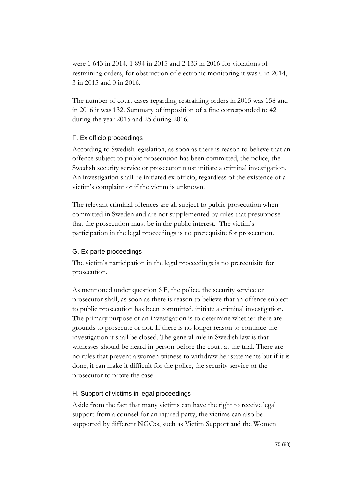were 1 643 in 2014, 1 894 in 2015 and 2 133 in 2016 for violations of restraining orders, for obstruction of electronic monitoring it was 0 in 2014, 3 in 2015 and 0 in 2016.

The number of court cases regarding restraining orders in 2015 was 158 and in 2016 it was 132. Summary of imposition of a fine corresponded to 42 during the year 2015 and 25 during 2016.

### F. Ex officio proceedings

According to Swedish legislation, as soon as there is reason to believe that an offence subject to public prosecution has been committed, the police, the Swedish security service or prosecutor must initiate a criminal investigation. An investigation shall be initiated ex officio, regardless of the existence of a victim's complaint or if the victim is unknown.

The relevant criminal offences are all subject to public prosecution when committed in Sweden and are not supplemented by rules that presuppose that the prosecution must be in the public interest. The victim's participation in the legal proceedings is no prerequisite for prosecution.

## G. Ex parte proceedings

The victim's participation in the legal proceedings is no prerequisite for prosecution.

As mentioned under question 6 F, the police, the security service or prosecutor shall, as soon as there is reason to believe that an offence subject to public prosecution has been committed, initiate a criminal investigation. The primary purpose of an investigation is to determine whether there are grounds to prosecute or not. If there is no longer reason to continue the investigation it shall be closed. The general rule in Swedish law is that witnesses should be heard in person before the court at the trial. There are no rules that prevent a women witness to withdraw her statements but if it is done, it can make it difficult for the police, the security service or the prosecutor to prove the case.

## H. Support of victims in legal proceedings

Aside from the fact that many victims can have the right to receive legal support from a counsel for an injured party, the victims can also be supported by different NGO:s, such as Victim Support and the Women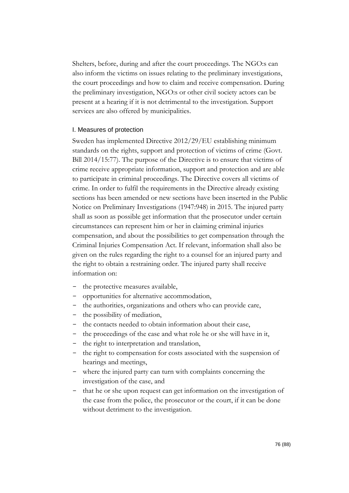Shelters, before, during and after the court proceedings. The NGO:s can also inform the victims on issues relating to the preliminary investigations, the court proceedings and how to claim and receive compensation. During the preliminary investigation, NGO:s or other civil society actors can be present at a hearing if it is not detrimental to the investigation. Support services are also offered by municipalities.

#### I. Measures of protection

Sweden has implemented Directive 2012/29/EU establishing minimum standards on the rights, support and protection of victims of crime (Govt. Bill 2014/15:77). The purpose of the Directive is to ensure that victims of crime receive appropriate information, support and protection and are able to participate in criminal proceedings. The Directive covers all victims of crime. In order to fulfil the requirements in the Directive already existing sections has been amended or new sections have been inserted in the Public Notice on Preliminary Investigations (1947:948) in 2015. The injured party shall as soon as possible get information that the prosecutor under certain circumstances can represent him or her in claiming criminal injuries compensation, and about the possibilities to get compensation through the Criminal Injuries Compensation Act. If relevant, information shall also be given on the rules regarding the right to a counsel for an injured party and the right to obtain a restraining order. The injured party shall receive information on:

- the protective measures available,
- opportunities for alternative accommodation,
- the authorities, organizations and others who can provide care,
- the possibility of mediation,
- the contacts needed to obtain information about their case,
- the proceedings of the case and what role he or she will have in it,
- the right to interpretation and translation,
- the right to compensation for costs associated with the suspension of hearings and meetings,
- where the injured party can turn with complaints concerning the investigation of the case, and
- that he or she upon request can get information on the investigation of the case from the police, the prosecutor or the court, if it can be done without detriment to the investigation.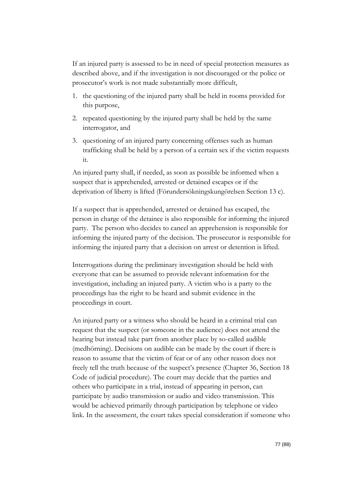If an injured party is assessed to be in need of special protection measures as described above, and if the investigation is not discouraged or the police or prosecutor's work is not made substantially more difficult,

- 1. the questioning of the injured party shall be held in rooms provided for this purpose,
- 2. repeated questioning by the injured party shall be held by the same interrogator, and
- 3. questioning of an injured party concerning offenses such as human trafficking shall be held by a person of a certain sex if the victim requests it.

An injured party shall, if needed, as soon as possible be informed when a suspect that is apprehended, arrested or detained escapes or if the deprivation of liberty is lifted (Förundersökningskungörelsen Section 13 c).

If a suspect that is apprehended, arrested or detained has escaped, the person in charge of the detainee is also responsible for informing the injured party. The person who decides to cancel an apprehension is responsible for informing the injured party of the decision. The prosecutor is responsible for informing the injured party that a decision on arrest or detention is lifted.

Interrogations during the preliminary investigation should be held with everyone that can be assumed to provide relevant information for the investigation, including an injured party. A victim who is a party to the proceedings has the right to be heard and submit evidence in the proceedings in court.

An injured party or a witness who should be heard in a criminal trial can request that the suspect (or someone in the audience) does not attend the hearing but instead take part from another place by so-called audible (medhörning). Decisions on audible can be made by the court if there is reason to assume that the victim of fear or of any other reason does not freely tell the truth because of the suspect's presence (Chapter 36, Section 18 Code of judicial procedure). The court may decide that the parties and others who participate in a trial, instead of appearing in person, can participate by audio transmission or audio and video transmission. This would be achieved primarily through participation by telephone or video link. In the assessment, the court takes special consideration if someone who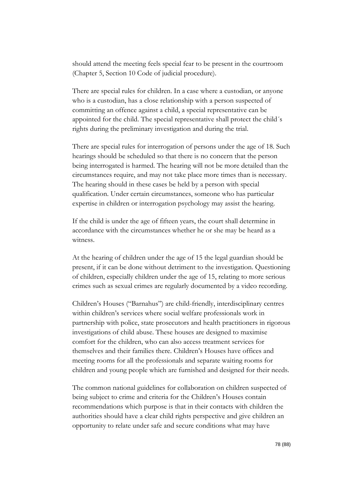should attend the meeting feels special fear to be present in the courtroom (Chapter 5, Section 10 Code of judicial procedure).

There are special rules for children. In a case where a custodian, or anyone who is a custodian, has a close relationship with a person suspected of committing an offence against a child, a special representative can be appointed for the child. The special representative shall protect the child´s rights during the preliminary investigation and during the trial.

There are special rules for interrogation of persons under the age of 18. Such hearings should be scheduled so that there is no concern that the person being interrogated is harmed. The hearing will not be more detailed than the circumstances require, and may not take place more times than is necessary. The hearing should in these cases be held by a person with special qualification. Under certain circumstances, someone who has particular expertise in children or interrogation psychology may assist the hearing.

If the child is under the age of fifteen years, the court shall determine in accordance with the circumstances whether he or she may be heard as a witness.

At the hearing of children under the age of 15 the legal guardian should be present, if it can be done without detriment to the investigation. Questioning of children, especially children under the age of 15, relating to more serious crimes such as sexual crimes are regularly documented by a video recording.

Children's Houses ("Barnahus") are child-friendly, interdisciplinary centres within children's services where social welfare professionals work in partnership with police, state prosecutors and health practitioners in rigorous investigations of child abuse. These houses are designed to maximise comfort for the children, who can also access treatment services for themselves and their families there. Children's Houses have offices and meeting rooms for all the professionals and separate waiting rooms for children and young people which are furnished and designed for their needs.

The common national guidelines for collaboration on children suspected of being subject to crime and criteria for the Children's Houses contain recommendations which purpose is that in their contacts with children the authorities should have a clear child rights perspective and give children an opportunity to relate under safe and secure conditions what may have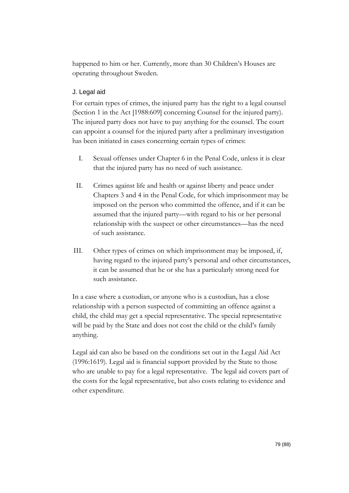happened to him or her. Currently, more than 30 Children's Houses are operating throughout Sweden.

## J. Legal aid

For certain types of crimes, the injured party has the right to a legal counsel (Section 1 in the Act [1988:609] concerning Counsel for the injured party). The injured party does not have to pay anything for the counsel. The court can appoint a counsel for the injured party after a preliminary investigation has been initiated in cases concerning certain types of crimes:

- I. Sexual offenses under Chapter 6 in the Penal Code, unless it is clear that the injured party has no need of such assistance.
- II. Crimes against life and health or against liberty and peace under Chapters 3 and 4 in the Penal Code, for which imprisonment may be imposed on the person who committed the offence, and if it can be assumed that the injured party—with regard to his or her personal relationship with the suspect or other circumstances—has the need of such assistance.
- III. Other types of crimes on which imprisonment may be imposed, if, having regard to the injured party's personal and other circumstances, it can be assumed that he or she has a particularly strong need for such assistance.

In a case where a custodian, or anyone who is a custodian, has a close relationship with a person suspected of committing an offence against a child, the child may get a special representative. The special representative will be paid by the State and does not cost the child or the child's family anything.

Legal aid can also be based on the conditions set out in the Legal Aid Act (1996:1619). Legal aid is financial support provided by the State to those who are unable to pay for a legal representative. The legal aid covers part of the costs for the legal representative, but also costs relating to evidence and other expenditure.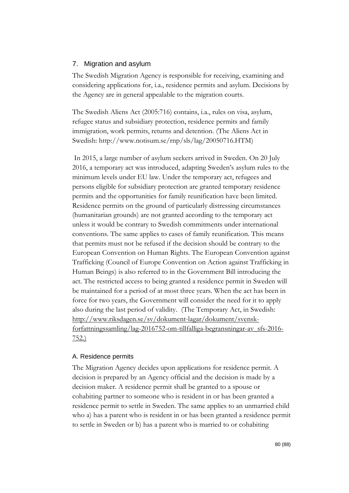### 7. Migration and asylum

The Swedish Migration Agency is responsible for receiving, examining and considering applications for, i.a., residence permits and asylum. Decisions by the Agency are in general appealable to the migration courts.

The Swedish Aliens Act (2005:716) contains, i.a., rules on visa, asylum, refugee status and subsidiary protection, residence permits and family immigration, work permits, returns and detention. (The Aliens Act in Swedish: [http://www.notisum.se/rnp/sls/lag/20050716.HTM\)](http://www.notisum.se/rnp/sls/lag/20050716.HTM)

In 2015, a large number of asylum seekers arrived in Sweden. On 20 July 2016, a temporary act was introduced, adapting Sweden's asylum rules to the minimum levels under EU law. Under the temporary act, refugees and persons eligible for subsidiary protection are granted temporary residence permits and the opportunities for family reunification have been limited. Residence permits on the ground of particularly distressing circumstances (humanitarian grounds) are not granted according to the temporary act unless it would be contrary to Swedish commitments under international conventions. The same applies to cases of family reunification. This means that permits must not be refused if the decision should be contrary to the European Convention on Human Rights. The European Convention against Trafficking (Council of Europe Convention on Action against Trafficking in Human Beings) is also referred to in the Government Bill introducing the act. The restricted access to being granted a residence permit in Sweden will be maintained for a period of at most three years. When the act has been in force for two years, the Government will consider the need for it to apply also during the last period of validity. (The Temporary Act, in Swedish: [http://www.riksdagen.se/sv/dokument-lagar/dokument/svensk](http://www.riksdagen.se/sv/dokument-lagar/dokument/svensk-forfattningssamling/lag-2016752-om-tillfalliga-begransningar-av_sfs-2016-752)[forfattningssamling/lag-2016752-om-tillfalliga-begransningar-av\\_sfs-2016-](http://www.riksdagen.se/sv/dokument-lagar/dokument/svensk-forfattningssamling/lag-2016752-om-tillfalliga-begransningar-av_sfs-2016-752) [752.](http://www.riksdagen.se/sv/dokument-lagar/dokument/svensk-forfattningssamling/lag-2016752-om-tillfalliga-begransningar-av_sfs-2016-752))

#### A. Residence permits

The Migration Agency decides upon applications for residence permit. A decision is prepared by an Agency official and the decision is made by a decision maker. A residence permit shall be granted to a spouse or cohabiting partner to someone who is resident in or has been granted a residence permit to settle in Sweden. The same applies to an unmarried child who a) has a parent who is resident in or has been granted a residence permit to settle in Sweden or b) has a parent who is married to or cohabiting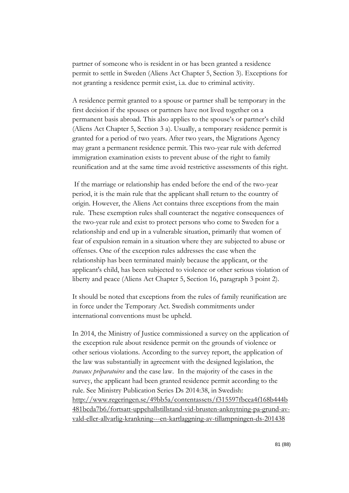partner of someone who is resident in or has been granted a residence permit to settle in Sweden (Aliens Act Chapter 5, Section 3). Exceptions for not granting a residence permit exist, i.a. due to criminal activity.

A residence permit granted to a spouse or partner shall be temporary in the first decision if the spouses or partners have not lived together on a permanent basis abroad. This also applies to the spouse's or partner's child (Aliens Act Chapter 5, Section 3 a). Usually, a temporary residence permit is granted for a period of two years. After two years, the Migrations Agency may grant a permanent residence permit. This two-year rule with deferred immigration examination exists to prevent abuse of the right to family reunification and at the same time avoid restrictive assessments of this right.

If the marriage or relationship has ended before the end of the two-year period, it is the main rule that the applicant shall return to the country of origin. However, the Aliens Act contains three exceptions from the main rule. These exemption rules shall counteract the negative consequences of the two-year rule and exist to protect persons who come to Sweden for a relationship and end up in a vulnerable situation, primarily that women of fear of expulsion remain in a situation where they are subjected to abuse or offenses. One of the exception rules addresses the case when the relationship has been terminated mainly because the applicant, or the applicant's child, has been subjected to violence or other serious violation of liberty and peace (Aliens Act Chapter 5, Section 16, paragraph 3 point 2).

It should be noted that exceptions from the rules of family reunification are in force under the Temporary Act. Swedish commitments under international conventions must be upheld.

In 2014, the Ministry of Justice commissioned a survey on the application of the exception rule about residence permit on the grounds of violence or other serious violations. According to the survey report, the application of the law was substantially in agreement with the designed legislation, the *travaux préparatoires* and the case law. In the majority of the cases in the survey, the applicant had been granted residence permit according to the rule. See Ministry Publication Series Ds 2014:38, in Swedish: [http://www.regeringen.se/49bb5a/contentassets/f315597fbcea4f168b444b](http://www.regeringen.se/49bb5a/contentassets/f315597fbcea4f168b444b481bcda7b6/fortsatt-uppehallstillstand-vid-brusten-anknytning-pa-grund-av-vald-eller-allvarlig-krankning---en-kartlaggning-av-tillampningen-ds-201438) [481bcda7b6/fortsatt-uppehallstillstand-vid-brusten-anknytning-pa-grund-av](http://www.regeringen.se/49bb5a/contentassets/f315597fbcea4f168b444b481bcda7b6/fortsatt-uppehallstillstand-vid-brusten-anknytning-pa-grund-av-vald-eller-allvarlig-krankning---en-kartlaggning-av-tillampningen-ds-201438)[vald-eller-allvarlig-krankning---en-kartlaggning-av-tillampningen-ds-201438](http://www.regeringen.se/49bb5a/contentassets/f315597fbcea4f168b444b481bcda7b6/fortsatt-uppehallstillstand-vid-brusten-anknytning-pa-grund-av-vald-eller-allvarlig-krankning---en-kartlaggning-av-tillampningen-ds-201438)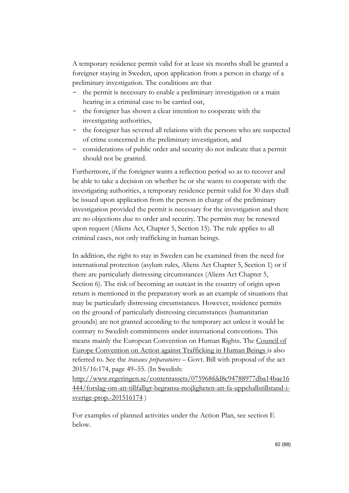A temporary residence permit valid for at least six months shall be granted a foreigner staying in Sweden, upon application from a person in charge of a preliminary investigation. The conditions are that

- the permit is necessary to enable a preliminary investigation or a main hearing in a criminal case to be carried out,
- the foreigner has shown a clear intention to cooperate with the investigating authorities,
- the foreigner has severed all relations with the persons who are suspected of crime concerned in the preliminary investigation, and
- considerations of public order and security do not indicate that a permit should not be granted.

Furthermore, if the foreigner wants a reflection period so as to recover and be able to take a decision on whether he or she wants to cooperate with the investigating authorities, a temporary residence permit valid for 30 days shall be issued upon application from the person in charge of the preliminary investigation provided the permit is necessary for the investigation and there are no objections due to order and security. The permits may be renewed upon request (Aliens Act, Chapter 5, Section 15). The rule applies to all criminal cases, not only trafficking in human beings.

In addition, the right to stay in Sweden can be examined from the need for international protection (asylum rules, Aliens Act Chapter 5, Section 1) or if there are particularly distressing circumstances (Aliens Act Chapter 5, Section 6). The risk of becoming an outcast in the country of origin upon return is mentioned in the preparatory work as an example of situations that may be particularly distressing circumstances. However, residence permits on the ground of particularly distressing circumstances (humanitarian grounds) are not granted according to the temporary act unless it would be contrary to Swedish commitments under international conventions. This means mainly the European Convention on Human Rights. The Council of Europe Convention on Action against Trafficking in Human Beings is also referred to. See the *travaux préparatoires* – Govt. Bill with proposal of the act 2015/16:174, page 49–55. (In Swedish:

[http://www.regeringen.se/contentassets/075968fdd8c94788977dba14bae16](http://www.regeringen.se/contentassets/075968fdd8c94788977dba14bae16444/forslag-om-att-tillfalligt-begransa-mojligheten-att-fa-uppehallstillstand-i-sverige-prop.-201516174) [444/forslag-om-att-tillfalligt-begransa-mojligheten-att-fa-uppehallstillstand-i](http://www.regeringen.se/contentassets/075968fdd8c94788977dba14bae16444/forslag-om-att-tillfalligt-begransa-mojligheten-att-fa-uppehallstillstand-i-sverige-prop.-201516174)[sverige-prop.-201516174](http://www.regeringen.se/contentassets/075968fdd8c94788977dba14bae16444/forslag-om-att-tillfalligt-begransa-mojligheten-att-fa-uppehallstillstand-i-sverige-prop.-201516174))

For examples of planned activities under the Action Plan, see section E below.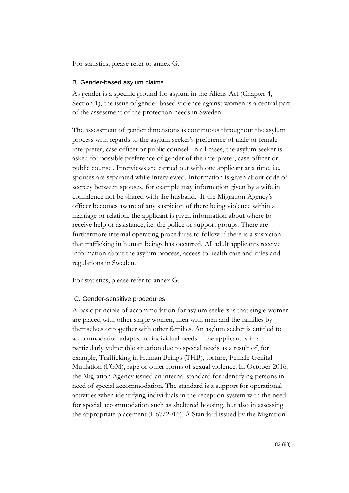For statistics, please refer to annex G.

#### B. Gender-based asylum claims

As gender is a specific ground for asylum in the Aliens Act (Chapter 4, Section 1), the issue of gender-based violence against women is a central part of the assessment of the protection needs in Sweden.

The assessment of gender dimensions is continuous throughout the asylum process with regards to the asylum seeker's preference of male or female interpreter, case officer or public counsel. In all cases, the asylum seeker is asked for possible preference of gender of the interpreter, case officer or public counsel. Interviews are carried out with one applicant at a time, i.e. spouses are separated while interviewed. Information is given about code of secrecy between spouses, for example may information given by a wife in confidence not be shared with the husband. If the Migration Agency's officer becomes aware of any suspicion of there being violence within a marriage or relation, the applicant is given information about where to receive help or assistance, i.e. the police or support groups. There are furthermore internal operating procedures to follow if there is a suspicion that trafficking in human beings has occurred. All adult applicants receive information about the asylum process, access to health care and rules and regulations in Sweden.

For statistics, please refer to annex G.

#### C. Gender-sensitive procedures

A basic principle of accommodation for asylum seekers is that single women are placed with other single women, men with men and the families by themselves or together with other families. An asylum seeker is entitled to accommodation adapted to individual needs if the applicant is in a particularly vulnerable situation due to special needs as a result of, for example, Trafficking in Human Beings (THB), torture, Female Genital Mutilation (FGM), rape or other forms of sexual violence. In October 2016, the Migration Agency issued an internal standard for identifying persons in need of special accommodation. The standard is a support for operational activities when identifying individuals in the reception system with the need for special accommodation such as sheltered housing, but also in assessing the appropriate placement (I-67/2016). A Standard issued by the Migration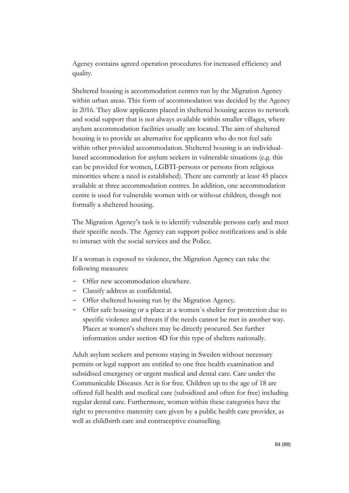Agency contains agreed operation procedures for increased efficiency and quality.

Sheltered housing is accommodation centres run by the Migration Agency within urban areas. This form of accommodation was decided by the Agency in 2016. They allow applicants placed in sheltered housing access to network and social support that is not always available within smaller villages, where asylum accommodation facilities usually are located. The aim of sheltered housing is to provide an alternative for applicants who do not feel safe within other provided accommodation. Sheltered housing is an individualbased accommodation for asylum seekers in vulnerable situations (e.g. this can be provided for women, LGBTI-persons or persons from religious minorities where a need is established). There are currently at least 45 places available at three accommodation centres. In addition, one accommodation centre is used for vulnerable women with or without children, though not formally a sheltered housing.

The Migration Agency's task is to identify vulnerable persons early and meet their specific needs. The Agency can support police notifications and is able to interact with the social services and the Police.

If a woman is exposed to violence, the Migration Agency can take the following measures:

- Offer new accommodation elsewhere.
- Classify address as confidential.
- Offer sheltered housing run by the Migration Agency.
- Offer safe housing or a place at a women´s shelter for protection due to specific violence and threats if the needs cannot be met in another way. Places at women's shelters may be directly procured. See further information under section 4D for this type of shelters nationally.

Adult asylum seekers and persons staying in Sweden without necessary permits or legal support are entitled to one free health examination and subsidised emergency or urgent medical and dental care. Care under the Communicable Diseases Act is for free. Children up to the age of 18 are offered full health and medical care (subsidized and often for free) including regular dental care. Furthermore, women within these categories have the right to preventive maternity care given by a public health care provider, as well as childbirth care and contraceptive counselling.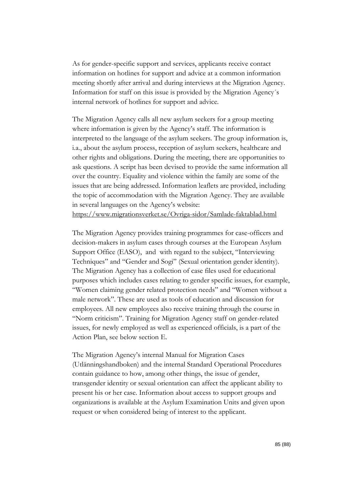As for gender-specific support and services, applicants receive contact information on hotlines for support and advice at a common information meeting shortly after arrival and during interviews at the Migration Agency. Information for staff on this issue is provided by the Migration Agency´s internal network of hotlines for support and advice.

The Migration Agency calls all new asylum seekers for a group meeting where information is given by the Agency's staff. The information is interpreted to the language of the asylum seekers. The group information is, i.a., about the asylum process, reception of asylum seekers, healthcare and other rights and obligations. During the meeting, there are opportunities to ask questions. A script has been devised to provide the same information all over the country. Equality and violence within the family are some of the issues that are being addressed. Information leaflets are provided, including the topic of accommodation with the Migration Agency. They are available in several languages on the Agency's website:

<https://www.migrationsverket.se/Ovriga-sidor/Samlade-faktablad.html>

The Migration Agency provides training programmes for case-officers and decision-makers in asylum cases through courses at the European Asylum Support Office (EASO), and with regard to the subject, "Interviewing Techniques" and "Gender and Sogi" (Sexual orientation gender identity). The Migration Agency has a collection of case files used for educational purposes which includes cases relating to gender specific issues, for example, "Women claiming gender related protection needs" and "Women without a male network". These are used as tools of education and discussion for employees. All new employees also receive training through the course in "Norm criticism". Training for Migration Agency staff on gender-related issues, for newly employed as well as experienced officials, is a part of the Action Plan, see below section E.

The Migration Agency's internal Manual for Migration Cases (Utlänningshandboken) and the internal Standard Operational Procedures contain guidance to how, among other things, the issue of gender, transgender identity or sexual orientation can affect the applicant ability to present his or her case. Information about access to support groups and organizations is available at the Asylum Examination Units and given upon request or when considered being of interest to the applicant.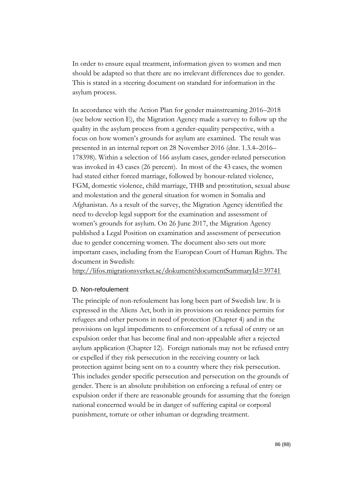In order to ensure equal treatment, information given to women and men should be adapted so that there are no irrelevant differences due to gender. This is stated in a steering document on standard for information in the asylum process.

In accordance with the Action Plan for gender mainstreaming 2016–2018 (see below section E), the Migration Agency made a survey to follow up the quality in the asylum process from a gender-equality perspective, with a focus on how women's grounds for asylum are examined. The result was presented in an internal report on 28 November 2016 (dnr. 1.3.4–2016– 178398). Within a selection of 166 asylum cases, gender-related persecution was invoked in 43 cases (26 percent). In most of the 43 cases, the women had stated either forced marriage, followed by honour-related violence, FGM, domestic violence, child marriage, THB and prostitution, sexual abuse and molestation and the general situation for women in Somalia and Afghanistan. As a result of the survey, the Migration Agency identified the need to develop legal support for the examination and assessment of women's grounds for asylum. On 26 June 2017, the Migration Agency published a Legal Position on examination and assessment of persecution due to gender concerning women. The document also sets out more important cases, including from the European Court of Human Rights. The document in Swedish:

<http://lifos.migrationsverket.se/dokument?documentSummaryId=39741>

#### D. Non-refoulement

The principle of non-refoulement has long been part of Swedish law. It is expressed in the Aliens Act, both in its provisions on residence permits for refugees and other persons in need of protection (Chapter 4) and in the provisions on legal impediments to enforcement of a refusal of entry or an expulsion order that has become final and non-appealable after a rejected asylum application (Chapter 12). Foreign nationals may not be refused entry or expelled if they risk persecution in the receiving country or lack protection against being sent on to a country where they risk persecution. This includes gender specific persecution and persecution on the grounds of gender. There is an absolute prohibition on enforcing a refusal of entry or expulsion order if there are reasonable grounds for assuming that the foreign national concerned would be in danger of suffering capital or corporal punishment, torture or other inhuman or degrading treatment.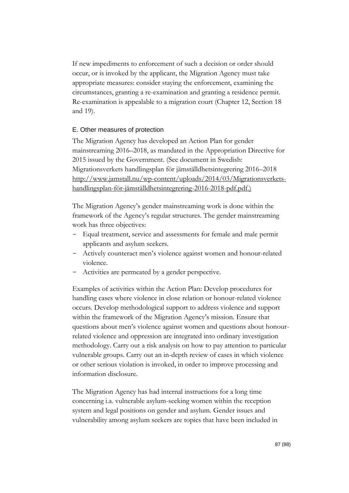If new impediments to enforcement of such a decision or order should occur, or is invoked by the applicant, the Migration Agency must take appropriate measures: consider staying the enforcement, examining the circumstances, granting a re-examination and granting a residence permit. Re-examination is appealable to a migration court (Chapter 12, Section 18 and 19).

### E. Other measures of protection

The Migration Agency has developed an Action Plan for gender mainstreaming 2016–2018, as mandated in the Appropriation Directive for 2015 issued by the Government. (See document in Swedish: Migrationsverkets handlingsplan för jämställdhetsintegrering 2016–2018 [http://www.jamstall.nu/wp-content/uploads/2014/03/Migrationsverkets](http://www.jamstall.nu/wp-content/uploads/2014/03/Migrationsverkets-handlingsplan-för-jämställdhetsintegrering-2016-2018-pdf.pdf)[handlingsplan-för-jämställdhetsintegrering-2016-2018-pdf.pdf.](http://www.jamstall.nu/wp-content/uploads/2014/03/Migrationsverkets-handlingsplan-för-jämställdhetsintegrering-2016-2018-pdf.pdf))

The Migration Agency's gender mainstreaming work is done within the framework of the Agency's regular structures. The gender mainstreaming work has three objectives:

- Equal treatment, service and assessments for female and male permit applicants and asylum seekers.
- Actively counteract men's violence against women and honour-related violence.
- Activities are permeated by a gender perspective.

Examples of activities within the Action Plan: Develop procedures for handling cases where violence in close relation or honour-related violence occurs. Develop methodological support to address violence and support within the framework of the Migration Agency's mission. Ensure that questions about men's violence against women and questions about honourrelated violence and oppression are integrated into ordinary investigation methodology. Carry out a risk analysis on how to pay attention to particular vulnerable groups. Carry out an in-depth review of cases in which violence or other serious violation is invoked, in order to improve processing and information disclosure.

The Migration Agency has had internal instructions for a long time concerning i.a. vulnerable asylum-seeking women within the reception system and legal positions on gender and asylum. Gender issues and vulnerability among asylum seekers are topics that have been included in